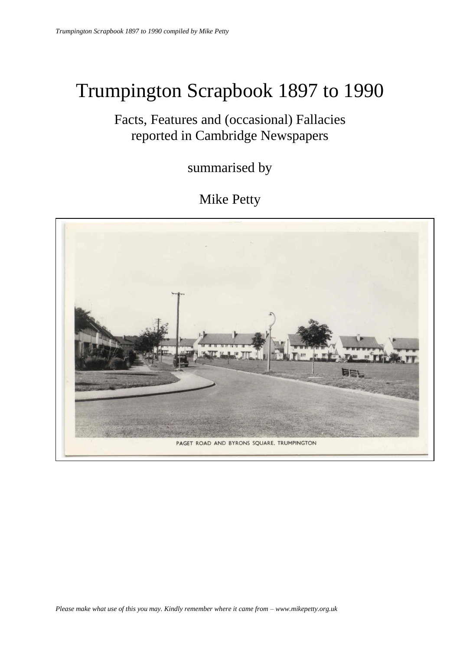# Trumpington Scrapbook 1897 to 1990

## Facts, Features and (occasional) Fallacies reported in Cambridge Newspapers

summarised by

## Mike Petty

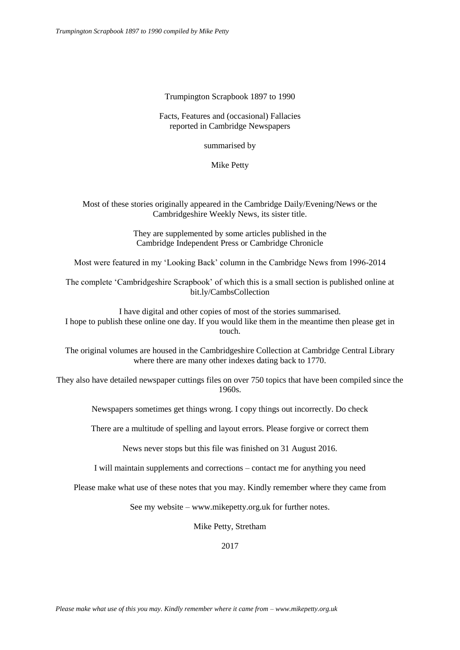## Trumpington Scrapbook 1897 to 1990

## Facts, Features and (occasional) Fallacies reported in Cambridge Newspapers

summarised by

Mike Petty

## Most of these stories originally appeared in the Cambridge Daily/Evening/News or the Cambridgeshire Weekly News, its sister title.

They are supplemented by some articles published in the Cambridge Independent Press or Cambridge Chronicle

Most were featured in my 'Looking Back' column in the Cambridge News from 1996-2014

The complete 'Cambridgeshire Scrapbook' of which this is a small section is published online at bit.ly/CambsCollection

I have digital and other copies of most of the stories summarised. I hope to publish these online one day. If you would like them in the meantime then please get in touch.

The original volumes are housed in the Cambridgeshire Collection at Cambridge Central Library where there are many other indexes dating back to 1770.

They also have detailed newspaper cuttings files on over 750 topics that have been compiled since the 1960s.

Newspapers sometimes get things wrong. I copy things out incorrectly. Do check

There are a multitude of spelling and layout errors. Please forgive or correct them

News never stops but this file was finished on 31 August 2016.

I will maintain supplements and corrections – contact me for anything you need

Please make what use of these notes that you may. Kindly remember where they came from

See my website – www.mikepetty.org.uk for further notes.

Mike Petty, Stretham

2017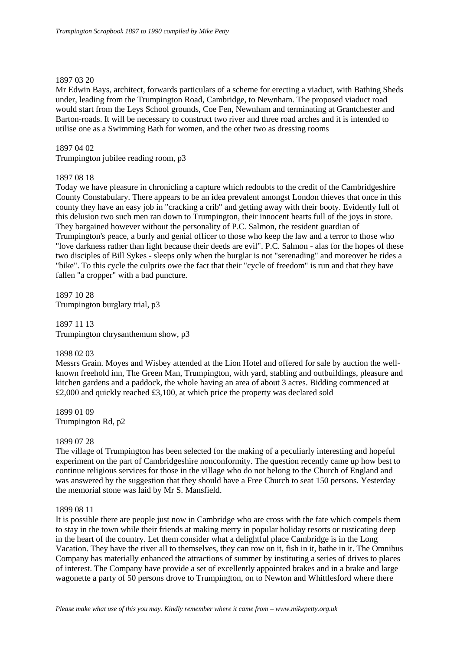## 1897 03 20

Mr Edwin Bays, architect, forwards particulars of a scheme for erecting a viaduct, with Bathing Sheds under, leading from the Trumpington Road, Cambridge, to Newnham. The proposed viaduct road would start from the Leys School grounds, Coe Fen, Newnham and terminating at Grantchester and Barton-roads. It will be necessary to construct two river and three road arches and it is intended to utilise one as a Swimming Bath for women, and the other two as dressing rooms

## 1897 04 02

Trumpington jubilee reading room, p3

## 1897 08 18

Today we have pleasure in chronicling a capture which redoubts to the credit of the Cambridgeshire County Constabulary. There appears to be an idea prevalent amongst London thieves that once in this county they have an easy job in "cracking a crib" and getting away with their booty. Evidently full of this delusion two such men ran down to Trumpington, their innocent hearts full of the joys in store. They bargained however without the personality of P.C. Salmon, the resident guardian of Trumpington's peace, a burly and genial officer to those who keep the law and a terror to those who "love darkness rather than light because their deeds are evil". P.C. Salmon - alas for the hopes of these two disciples of Bill Sykes - sleeps only when the burglar is not "serenading" and moreover he rides a "bike". To this cycle the culprits owe the fact that their "cycle of freedom" is run and that they have fallen "a cropper" with a bad puncture.

1897 10 28 Trumpington burglary trial, p3

1897 11 13 Trumpington chrysanthemum show, p3

## 1898 02 03

Messrs Grain. Moyes and Wisbey attended at the Lion Hotel and offered for sale by auction the wellknown freehold inn, The Green Man, Trumpington, with yard, stabling and outbuildings, pleasure and kitchen gardens and a paddock, the whole having an area of about 3 acres. Bidding commenced at £2,000 and quickly reached £3,100, at which price the property was declared sold

1899 01 09 Trumpington Rd, p2

## 1899 07 28

The village of Trumpington has been selected for the making of a peculiarly interesting and hopeful experiment on the part of Cambridgeshire nonconformity. The question recently came up how best to continue religious services for those in the village who do not belong to the Church of England and was answered by the suggestion that they should have a Free Church to seat 150 persons. Yesterday the memorial stone was laid by Mr S. Mansfield.

## 1899 08 11

It is possible there are people just now in Cambridge who are cross with the fate which compels them to stay in the town while their friends at making merry in popular holiday resorts or rusticating deep in the heart of the country. Let them consider what a delightful place Cambridge is in the Long Vacation. They have the river all to themselves, they can row on it, fish in it, bathe in it. The Omnibus Company has materially enhanced the attractions of summer by instituting a series of drives to places of interest. The Company have provide a set of excellently appointed brakes and in a brake and large wagonette a party of 50 persons drove to Trumpington, on to Newton and Whittlesford where there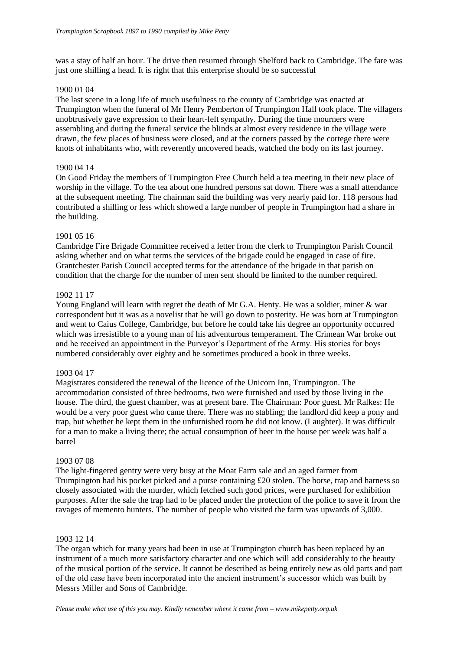was a stay of half an hour. The drive then resumed through Shelford back to Cambridge. The fare was just one shilling a head. It is right that this enterprise should be so successful

## 1900 01 04

The last scene in a long life of much usefulness to the county of Cambridge was enacted at Trumpington when the funeral of Mr Henry Pemberton of Trumpington Hall took place. The villagers unobtrusively gave expression to their heart-felt sympathy. During the time mourners were assembling and during the funeral service the blinds at almost every residence in the village were drawn, the few places of business were closed, and at the corners passed by the cortege there were knots of inhabitants who, with reverently uncovered heads, watched the body on its last journey.

## 1900 04 14

On Good Friday the members of Trumpington Free Church held a tea meeting in their new place of worship in the village. To the tea about one hundred persons sat down. There was a small attendance at the subsequent meeting. The chairman said the building was very nearly paid for. 118 persons had contributed a shilling or less which showed a large number of people in Trumpington had a share in the building.

## 1901 05 16

Cambridge Fire Brigade Committee received a letter from the clerk to Trumpington Parish Council asking whether and on what terms the services of the brigade could be engaged in case of fire. Grantchester Parish Council accepted terms for the attendance of the brigade in that parish on condition that the charge for the number of men sent should be limited to the number required.

## 1902 11 17

Young England will learn with regret the death of Mr G.A. Henty. He was a soldier, miner & war correspondent but it was as a novelist that he will go down to posterity. He was born at Trumpington and went to Caius College, Cambridge, but before he could take his degree an opportunity occurred which was irresistible to a young man of his adventurous temperament. The Crimean War broke out and he received an appointment in the Purveyor's Department of the Army. His stories for boys numbered considerably over eighty and he sometimes produced a book in three weeks.

## 1903 04 17

Magistrates considered the renewal of the licence of the Unicorn Inn, Trumpington. The accommodation consisted of three bedrooms, two were furnished and used by those living in the house. The third, the guest chamber, was at present bare. The Chairman: Poor guest. Mr Ralkes: He would be a very poor guest who came there. There was no stabling; the landlord did keep a pony and trap, but whether he kept them in the unfurnished room he did not know. (Laughter). It was difficult for a man to make a living there; the actual consumption of beer in the house per week was half a barrel

## 1903 07 08

The light-fingered gentry were very busy at the Moat Farm sale and an aged farmer from Trumpington had his pocket picked and a purse containing £20 stolen. The horse, trap and harness so closely associated with the murder, which fetched such good prices, were purchased for exhibition purposes. After the sale the trap had to be placed under the protection of the police to save it from the ravages of memento hunters. The number of people who visited the farm was upwards of 3,000.

## 1903 12 14

The organ which for many years had been in use at Trumpington church has been replaced by an instrument of a much more satisfactory character and one which will add considerably to the beauty of the musical portion of the service. It cannot be described as being entirely new as old parts and part of the old case have been incorporated into the ancient instrument's successor which was built by Messrs Miller and Sons of Cambridge.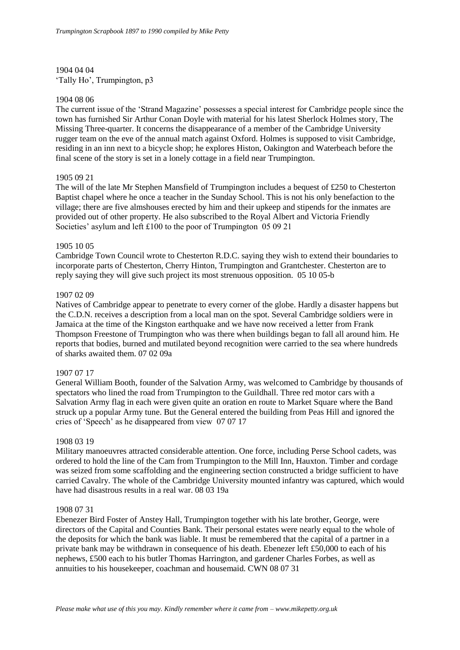1904 04 04 'Tally Ho', Trumpington, p3

#### 1904 08 06

The current issue of the 'Strand Magazine' possesses a special interest for Cambridge people since the town has furnished Sir Arthur Conan Doyle with material for his latest Sherlock Holmes story, The Missing Three-quarter. It concerns the disappearance of a member of the Cambridge University rugger team on the eve of the annual match against Oxford. Holmes is supposed to visit Cambridge, residing in an inn next to a bicycle shop; he explores Histon, Oakington and Waterbeach before the final scene of the story is set in a lonely cottage in a field near Trumpington.

## 1905 09 21

The will of the late Mr Stephen Mansfield of Trumpington includes a bequest of £250 to Chesterton Baptist chapel where he once a teacher in the Sunday School. This is not his only benefaction to the village; there are five almshouses erected by him and their upkeep and stipends for the inmates are provided out of other property. He also subscribed to the Royal Albert and Victoria Friendly Societies' asylum and left £100 to the poor of Trumpington 05 09 21

#### 1905 10 05

Cambridge Town Council wrote to Chesterton R.D.C. saying they wish to extend their boundaries to incorporate parts of Chesterton, Cherry Hinton, Trumpington and Grantchester. Chesterton are to reply saying they will give such project its most strenuous opposition. 05 10 05-b

#### 1907 02 09

Natives of Cambridge appear to penetrate to every corner of the globe. Hardly a disaster happens but the C.D.N. receives a description from a local man on the spot. Several Cambridge soldiers were in Jamaica at the time of the Kingston earthquake and we have now received a letter from Frank Thompson Freestone of Trumpington who was there when buildings began to fall all around him. He reports that bodies, burned and mutilated beyond recognition were carried to the sea where hundreds of sharks awaited them. 07 02 09a

#### 1907 07 17

General William Booth, founder of the Salvation Army, was welcomed to Cambridge by thousands of spectators who lined the road from Trumpington to the Guildhall. Three red motor cars with a Salvation Army flag in each were given quite an oration en route to Market Square where the Band struck up a popular Army tune. But the General entered the building from Peas Hill and ignored the cries of 'Speech' as he disappeared from view 07 07 17

## 1908 03 19

Military manoeuvres attracted considerable attention. One force, including Perse School cadets, was ordered to hold the line of the Cam from Trumpington to the Mill Inn, Hauxton. Timber and cordage was seized from some scaffolding and the engineering section constructed a bridge sufficient to have carried Cavalry. The whole of the Cambridge University mounted infantry was captured, which would have had disastrous results in a real war. 08 03 19a

#### 1908 07 31

Ebenezer Bird Foster of Anstey Hall, Trumpington together with his late brother, George, were directors of the Capital and Counties Bank. Their personal estates were nearly equal to the whole of the deposits for which the bank was liable. It must be remembered that the capital of a partner in a private bank may be withdrawn in consequence of his death. Ebenezer left £50,000 to each of his nephews, £500 each to his butler Thomas Harrington, and gardener Charles Forbes, as well as annuities to his housekeeper, coachman and housemaid. CWN 08 07 31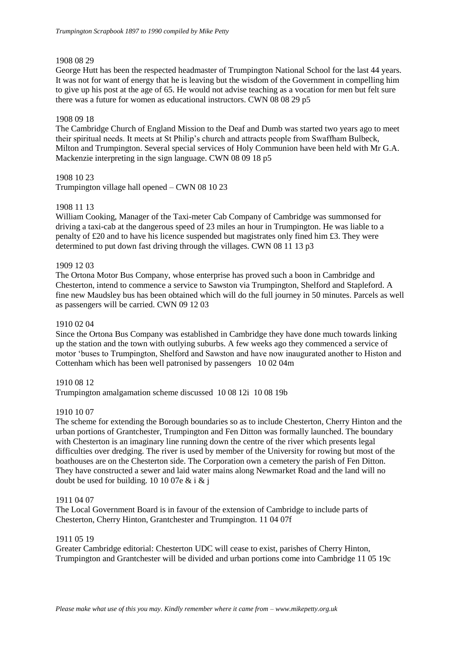## 1908 08 29

George Hutt has been the respected headmaster of Trumpington National School for the last 44 years. It was not for want of energy that he is leaving but the wisdom of the Government in compelling him to give up his post at the age of 65. He would not advise teaching as a vocation for men but felt sure there was a future for women as educational instructors. CWN 08 08 29 p5

## 1908 09 18

The Cambridge Church of England Mission to the Deaf and Dumb was started two years ago to meet their spiritual needs. It meets at St Philip's church and attracts people from Swaffham Bulbeck, Milton and Trumpington. Several special services of Holy Communion have been held with Mr G.A. Mackenzie interpreting in the sign language. CWN 08 09 18 p5

## 1908 10 23

Trumpington village hall opened – CWN 08 10 23

## 1908 11 13

William Cooking, Manager of the Taxi-meter Cab Company of Cambridge was summonsed for driving a taxi-cab at the dangerous speed of 23 miles an hour in Trumpington. He was liable to a penalty of £20 and to have his licence suspended but magistrates only fined him £3. They were determined to put down fast driving through the villages. CWN 08 11 13 p3

## 1909 12 03

The Ortona Motor Bus Company, whose enterprise has proved such a boon in Cambridge and Chesterton, intend to commence a service to Sawston via Trumpington, Shelford and Stapleford. A fine new Maudsley bus has been obtained which will do the full journey in 50 minutes. Parcels as well as passengers will be carried. CWN 09 12 03

## 1910 02 04

Since the Ortona Bus Company was established in Cambridge they have done much towards linking up the station and the town with outlying suburbs. A few weeks ago they commenced a service of motor 'buses to Trumpington, Shelford and Sawston and have now inaugurated another to Histon and Cottenham which has been well patronised by passengers 10 02 04m

## 1910 08 12

Trumpington amalgamation scheme discussed 10 08 12i 10 08 19b

## 1910 10 07

The scheme for extending the Borough boundaries so as to include Chesterton, Cherry Hinton and the urban portions of Grantchester, Trumpington and Fen Ditton was formally launched. The boundary with Chesterton is an imaginary line running down the centre of the river which presents legal difficulties over dredging. The river is used by member of the University for rowing but most of the boathouses are on the Chesterton side. The Corporation own a cemetery the parish of Fen Ditton. They have constructed a sewer and laid water mains along Newmarket Road and the land will no doubt be used for building. 10 10 07e  $& 1 \& 1$ 

## 1911 04 07

The Local Government Board is in favour of the extension of Cambridge to include parts of Chesterton, Cherry Hinton, Grantchester and Trumpington. 11 04 07f

## 1911 05 19

Greater Cambridge editorial: Chesterton UDC will cease to exist, parishes of Cherry Hinton, Trumpington and Grantchester will be divided and urban portions come into Cambridge 11 05 19c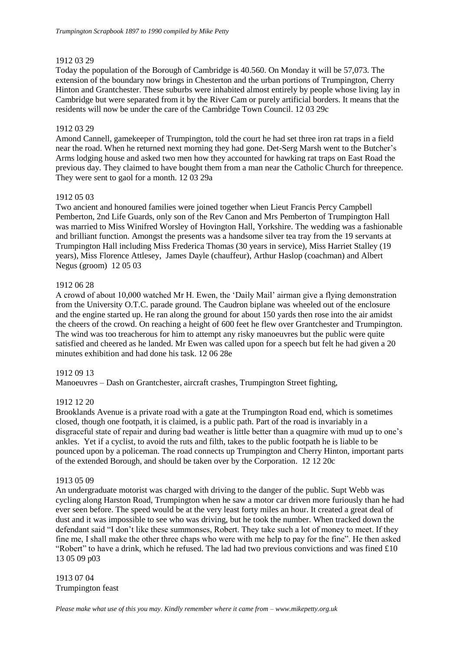## 1912 03 29

Today the population of the Borough of Cambridge is 40.560. On Monday it will be 57,073. The extension of the boundary now brings in Chesterton and the urban portions of Trumpington, Cherry Hinton and Grantchester. These suburbs were inhabited almost entirely by people whose living lay in Cambridge but were separated from it by the River Cam or purely artificial borders. It means that the residents will now be under the care of the Cambridge Town Council. 12 03 29c

## 1912 03 29

Amond Cannell, gamekeeper of Trumpington, told the court he had set three iron rat traps in a field near the road. When he returned next morning they had gone. Det-Serg Marsh went to the Butcher's Arms lodging house and asked two men how they accounted for hawking rat traps on East Road the previous day. They claimed to have bought them from a man near the Catholic Church for threepence. They were sent to gaol for a month. 12 03 29a

## 1912 05 03

Two ancient and honoured families were joined together when Lieut Francis Percy Campbell Pemberton, 2nd Life Guards, only son of the Rev Canon and Mrs Pemberton of Trumpington Hall was married to Miss Winifred Worsley of Hovington Hall, Yorkshire. The wedding was a fashionable and brilliant function. Amongst the presents was a handsome silver tea tray from the 19 servants at Trumpington Hall including Miss Frederica Thomas (30 years in service), Miss Harriet Stalley (19 years), Miss Florence Attlesey, James Dayle (chauffeur), Arthur Haslop (coachman) and Albert Negus (groom) 12 05 03

## 1912 06 28

A crowd of about 10,000 watched Mr H. Ewen, the 'Daily Mail' airman give a flying demonstration from the University O.T.C. parade ground. The Caudron biplane was wheeled out of the enclosure and the engine started up. He ran along the ground for about 150 yards then rose into the air amidst the cheers of the crowd. On reaching a height of 600 feet he flew over Grantchester and Trumpington. The wind was too treacherous for him to attempt any risky manoeuvres but the public were quite satisfied and cheered as he landed. Mr Ewen was called upon for a speech but felt he had given a 20 minutes exhibition and had done his task. 12 06 28e

## 1912 09 13

Manoeuvres – Dash on Grantchester, aircraft crashes, Trumpington Street fighting,

## 1912 12 20

Brooklands Avenue is a private road with a gate at the Trumpington Road end, which is sometimes closed, though one footpath, it is claimed, is a public path. Part of the road is invariably in a disgraceful state of repair and during bad weather is little better than a quagmire with mud up to one's ankles. Yet if a cyclist, to avoid the ruts and filth, takes to the public footpath he is liable to be pounced upon by a policeman. The road connects up Trumpington and Cherry Hinton, important parts of the extended Borough, and should be taken over by the Corporation. 12 12 20c

## 1913 05 09

An undergraduate motorist was charged with driving to the danger of the public. Supt Webb was cycling along Harston Road, Trumpington when he saw a motor car driven more furiously than he had ever seen before. The speed would be at the very least forty miles an hour. It created a great deal of dust and it was impossible to see who was driving, but he took the number. When tracked down the defendant said "I don't like these summonses, Robert. They take such a lot of money to meet. If they fine me, I shall make the other three chaps who were with me help to pay for the fine". He then asked "Robert" to have a drink, which he refused. The lad had two previous convictions and was fined  $\text{\pounds}10$ 13 05 09 p03

1913 07 04 Trumpington feast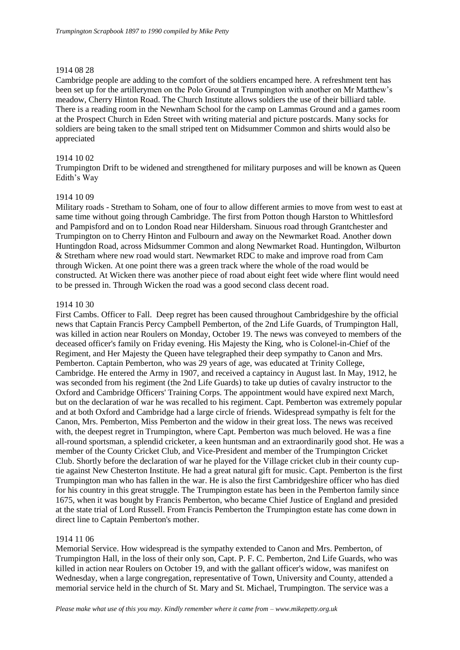## 1914 08 28

Cambridge people are adding to the comfort of the soldiers encamped here. A refreshment tent has been set up for the artillerymen on the Polo Ground at Trumpington with another on Mr Matthew's meadow, Cherry Hinton Road. The Church Institute allows soldiers the use of their billiard table. There is a reading room in the Newnham School for the camp on Lammas Ground and a games room at the Prospect Church in Eden Street with writing material and picture postcards. Many socks for soldiers are being taken to the small striped tent on Midsummer Common and shirts would also be appreciated

## 1914 10 02

Trumpington Drift to be widened and strengthened for military purposes and will be known as Queen Edith's Way

## 1914 10 09

Military roads - Stretham to Soham, one of four to allow different armies to move from west to east at same time without going through Cambridge. The first from Potton though Harston to Whittlesford and Pampisford and on to London Road near Hildersham. Sinuous road through Grantchester and Trumpington on to Cherry Hinton and Fulbourn and away on the Newmarket Road. Another down Huntingdon Road, across Midsummer Common and along Newmarket Road. Huntingdon, Wilburton & Stretham where new road would start. Newmarket RDC to make and improve road from Cam through Wicken. At one point there was a green track where the whole of the road would be constructed. At Wicken there was another piece of road about eight feet wide where flint would need to be pressed in. Through Wicken the road was a good second class decent road.

#### 1914 10 30

First Cambs. Officer to Fall. Deep regret has been caused throughout Cambridgeshire by the official news that Captain Francis Percy Campbell Pemberton, of the 2nd Life Guards, of Trumpington Hall, was killed in action near Roulers on Monday, October 19. The news was conveyed to members of the deceased officer's family on Friday evening. His Majesty the King, who is Colonel-in-Chief of the Regiment, and Her Majesty the Queen have telegraphed their deep sympathy to Canon and Mrs. Pemberton. Captain Pemberton, who was 29 years of age, was educated at Trinity College, Cambridge. He entered the Army in 1907, and received a captaincy in August last. In May, 1912, he was seconded from his regiment (the 2nd Life Guards) to take up duties of cavalry instructor to the Oxford and Cambridge Officers' Training Corps. The appointment would have expired next March, but on the declaration of war he was recalled to his regiment. Capt. Pemberton was extremely popular and at both Oxford and Cambridge had a large circle of friends. Widespread sympathy is felt for the Canon, Mrs. Pemberton, Miss Pemberton and the widow in their great loss. The news was received with, the deepest regret in Trumpington, where Capt. Pemberton was much beloved. He was a fine all-round sportsman, a splendid cricketer, a keen huntsman and an extraordinarily good shot. He was a member of the County Cricket Club, and Vice-President and member of the Trumpington Cricket Club. Shortly before the declaration of war he played for the Village cricket club in their county cuptie against New Chesterton Institute. He had a great natural gift for music. Capt. Pemberton is the first Trumpington man who has fallen in the war. He is also the first Cambridgeshire officer who has died for his country in this great struggle. The Trumpington estate has been in the Pemberton family since 1675, when it was bought by Francis Pemberton, who became Chief Justice of England and presided at the state trial of Lord Russell. From Francis Pemberton the Trumpington estate has come down in direct line to Captain Pemberton's mother.

## 1914 11 06

Memorial Service. How widespread is the sympathy extended to Canon and Mrs. Pemberton, of Trumpington Hall, in the loss of their only son, Capt. P. F. C. Pemberton, 2nd Life Guards, who was killed in action near Roulers on October 19, and with the gallant officer's widow, was manifest on Wednesday, when a large congregation, representative of Town, University and County, attended a memorial service held in the church of St. Mary and St. Michael, Trumpington. The service was a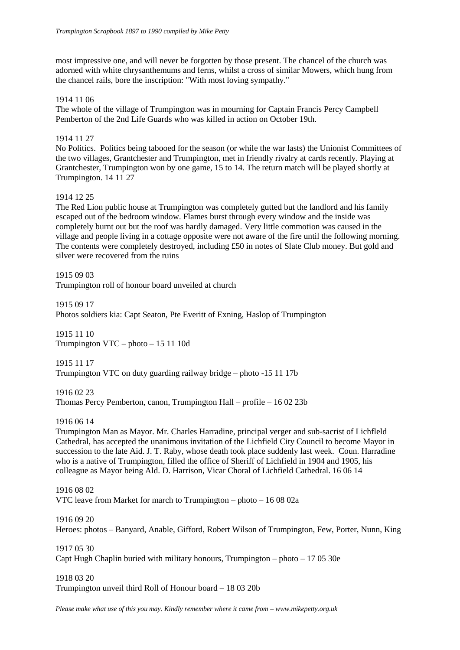most impressive one, and will never be forgotten by those present. The chancel of the church was adorned with white chrysanthemums and ferns, whilst a cross of similar Mowers, which hung from the chancel rails, bore the inscription: "With most loving sympathy."

## 1914 11 06

The whole of the village of Trumpington was in mourning for Captain Francis Percy Campbell Pemberton of the 2nd Life Guards who was killed in action on October 19th.

## 1914 11 27

No Politics. Politics being tabooed for the season (or while the war lasts) the Unionist Committees of the two villages, Grantchester and Trumpington, met in friendly rivalry at cards recently. Playing at Grantchester, Trumpington won by one game, 15 to 14. The return match will be played shortly at Trumpington. 14 11 27

## 1914 12 25

The Red Lion public house at Trumpington was completely gutted but the landlord and his family escaped out of the bedroom window. Flames burst through every window and the inside was completely burnt out but the roof was hardly damaged. Very little commotion was caused in the village and people living in a cottage opposite were not aware of the fire until the following morning. The contents were completely destroyed, including £50 in notes of Slate Club money. But gold and silver were recovered from the ruins

1915 09 03 Trumpington roll of honour board unveiled at church

1915 09 17 Photos soldiers kia: Capt Seaton, Pte Everitt of Exning, Haslop of Trumpington

1915 11 10 Trumpington VTC – photo – 15 11 10d

1915 11 17 Trumpington VTC on duty guarding railway bridge – photo -15 11 17b

1916 02 23 Thomas Percy Pemberton, canon, Trumpington Hall – profile – 16 02 23b

1916 06 14

Trumpington Man as Mayor. Mr. Charles Harradine, principal verger and sub-sacrist of Lichfleld Cathedral, has accepted the unanimous invitation of the Lichfield City Council to become Mayor in succession to the late Aid. J. T. Raby, whose death took place suddenly last week. Coun. Harradine who is a native of Trumpington, filled the office of Sheriff of Lichfield in 1904 and 1905, his colleague as Mayor being Ald. D. Harrison, Vicar Choral of Lichfield Cathedral. 16 06 14

## 1916 08 02

VTC leave from Market for march to Trumpington – photo – 16 08 02a

1916 09 20

Heroes: photos – Banyard, Anable, Gifford, Robert Wilson of Trumpington, Few, Porter, Nunn, King

1917 05 30 Capt Hugh Chaplin buried with military honours, Trumpington – photo – 17 05 30e

1918 03 20

Trumpington unveil third Roll of Honour board – 18 03 20b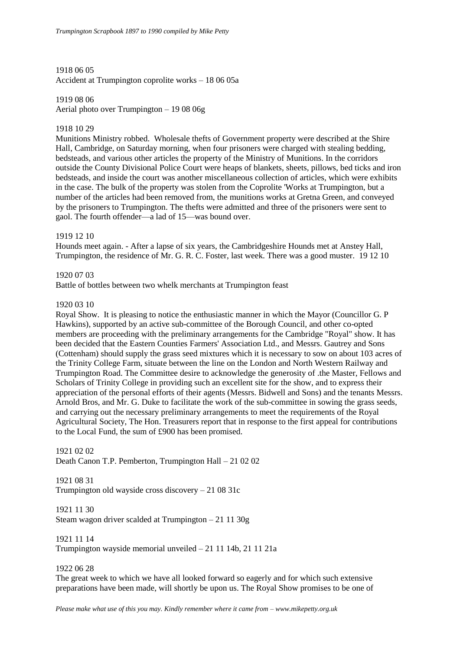1918 06 05 Accident at Trumpington coprolite works – 18 06 05a

1919 08 06 Aerial photo over Trumpington – 19 08 06g

## 1918 10 29

Munitions Ministry robbed. Wholesale thefts of Government property were described at the Shire Hall, Cambridge, on Saturday morning, when four prisoners were charged with stealing bedding, bedsteads, and various other articles the property of the Ministry of Munitions. In the corridors outside the County Divisional Police Court were heaps of blankets, sheets, pillows, bed ticks and iron bedsteads, and inside the court was another miscellaneous collection of articles, which were exhibits in the case. The bulk of the property was stolen from the Coprolite 'Works at Trumpington, but a number of the articles had been removed from, the munitions works at Gretna Green, and conveyed by the prisoners to Trumpington. The thefts were admitted and three of the prisoners were sent to gaol. The fourth offender—a lad of 15—was bound over.

## 1919 12 10

Hounds meet again. - After a lapse of six years, the Cambridgeshire Hounds met at Anstey Hall, Trumpington, the residence of Mr. G. R. C. Foster, last week. There was a good muster. 19 12 10

## 1920 07 03

Battle of bottles between two whelk merchants at Trumpington feast

## 1920 03 10

Royal Show. It is pleasing to notice the enthusiastic manner in which the Mayor (Councillor G. P Hawkins), supported by an active sub-committee of the Borough Council, and other co-opted members are proceeding with the preliminary arrangements for the Cambridge "Royal" show. It has been decided that the Eastern Counties Farmers' Association Ltd., and Messrs. Gautrey and Sons (Cottenham) should supply the grass seed mixtures which it is necessary to sow on about 103 acres of the Trinity College Farm, situate between the line on the London and North Western Railway and Trumpington Road. The Committee desire to acknowledge the generosity of .the Master, Fellows and Scholars of Trinity College in providing such an excellent site for the show, and to express their appreciation of the personal efforts of their agents (Messrs. Bidwell and Sons) and the tenants Messrs. Arnold Bros, and Mr. G. Duke to facilitate the work of the sub-committee in sowing the grass seeds, and carrying out the necessary preliminary arrangements to meet the requirements of the Royal Agricultural Society, The Hon. Treasurers report that in response to the first appeal for contributions to the Local Fund, the sum of £900 has been promised.

## 1921 02 02

Death Canon T.P. Pemberton, Trumpington Hall – 21 02 02

## 1921 08 31 Trumpington old wayside cross discovery – 21 08 31c

1921 11 30 Steam wagon driver scalded at Trumpington – 21 11 30g

## 1921 11 14

Trumpington wayside memorial unveiled – 21 11 14b, 21 11 21a

## 1922 06 28

The great week to which we have all looked forward so eagerly and for which such extensive preparations have been made, will shortly be upon us. The Royal Show promises to be one of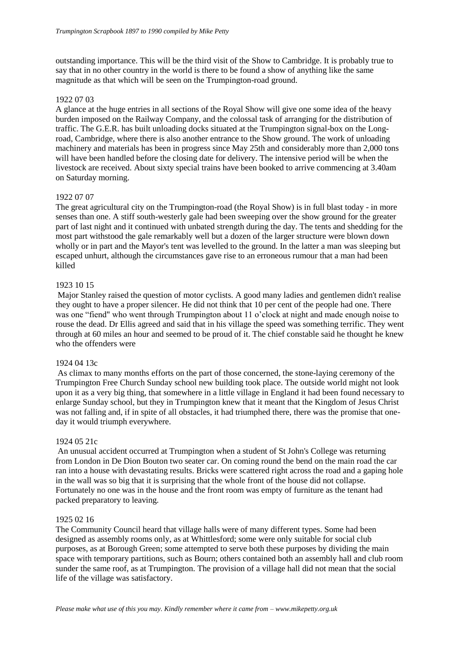outstanding importance. This will be the third visit of the Show to Cambridge. It is probably true to say that in no other country in the world is there to be found a show of anything like the same magnitude as that which will be seen on the Trumpington-road ground.

## 1922 07 03

A glance at the huge entries in all sections of the Royal Show will give one some idea of the heavy burden imposed on the Railway Company, and the colossal task of arranging for the distribution of traffic. The G.E.R. has built unloading docks situated at the Trumpington signal-box on the Longroad, Cambridge, where there is also another entrance to the Show ground. The work of unloading machinery and materials has been in progress since May 25th and considerably more than 2,000 tons will have been handled before the closing date for delivery. The intensive period will be when the livestock are received. About sixty special trains have been booked to arrive commencing at 3.40am on Saturday morning.

## 1922 07 07

The great agricultural city on the Trumpington-road (the Royal Show) is in full blast today - in more senses than one. A stiff south-westerly gale had been sweeping over the show ground for the greater part of last night and it continued with unbated strength during the day. The tents and shedding for the most part withstood the gale remarkably well but a dozen of the larger structure were blown down wholly or in part and the Mayor's tent was levelled to the ground. In the latter a man was sleeping but escaped unhurt, although the circumstances gave rise to an erroneous rumour that a man had been killed

## 1923 10 15

Major Stanley raised the question of motor cyclists. A good many ladies and gentlemen didn't realise they ought to have a proper silencer. He did not think that 10 per cent of the people had one. There was one "fiend" who went through Trumpington about 11 o'clock at night and made enough noise to rouse the dead. Dr Ellis agreed and said that in his village the speed was something terrific. They went through at 60 miles an hour and seemed to be proud of it. The chief constable said he thought he knew who the offenders were

## 1924 04 13c

As climax to many months efforts on the part of those concerned, the stone-laying ceremony of the Trumpington Free Church Sunday school new building took place. The outside world might not look upon it as a very big thing, that somewhere in a little village in England it had been found necessary to enlarge Sunday school, but they in Trumpington knew that it meant that the Kingdom of Jesus Christ was not falling and, if in spite of all obstacles, it had triumphed there, there was the promise that oneday it would triumph everywhere.

## 1924 05 21c

An unusual accident occurred at Trumpington when a student of St John's College was returning from London in De Dion Bouton two seater car. On coming round the bend on the main road the car ran into a house with devastating results. Bricks were scattered right across the road and a gaping hole in the wall was so big that it is surprising that the whole front of the house did not collapse. Fortunately no one was in the house and the front room was empty of furniture as the tenant had packed preparatory to leaving.

## 1925 02 16

The Community Council heard that village halls were of many different types. Some had been designed as assembly rooms only, as at Whittlesford; some were only suitable for social club purposes, as at Borough Green; some attempted to serve both these purposes by dividing the main space with temporary partitions, such as Bourn; others contained both an assembly hall and club room sunder the same roof, as at Trumpington. The provision of a village hall did not mean that the social life of the village was satisfactory.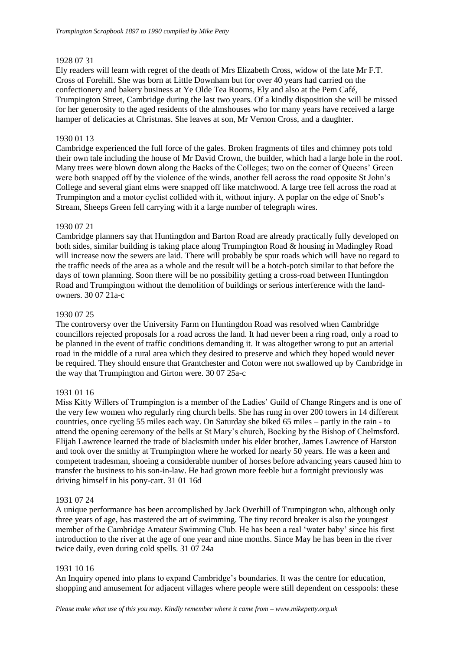## 1928 07 31

Ely readers will learn with regret of the death of Mrs Elizabeth Cross, widow of the late Mr F.T. Cross of Forehill. She was born at Little Downham but for over 40 years had carried on the confectionery and bakery business at Ye Olde Tea Rooms, Ely and also at the Pem Café, Trumpington Street, Cambridge during the last two years. Of a kindly disposition she will be missed for her generosity to the aged residents of the almshouses who for many years have received a large hamper of delicacies at Christmas. She leaves at son, Mr Vernon Cross, and a daughter.

## 1930 01 13

Cambridge experienced the full force of the gales. Broken fragments of tiles and chimney pots told their own tale including the house of Mr David Crown, the builder, which had a large hole in the roof. Many trees were blown down along the Backs of the Colleges; two on the corner of Queens' Green were both snapped off by the violence of the winds, another fell across the road opposite St John's College and several giant elms were snapped off like matchwood. A large tree fell across the road at Trumpington and a motor cyclist collided with it, without injury. A poplar on the edge of Snob's Stream, Sheeps Green fell carrying with it a large number of telegraph wires.

## 1930 07 21

Cambridge planners say that Huntingdon and Barton Road are already practically fully developed on both sides, similar building is taking place along Trumpington Road & housing in Madingley Road will increase now the sewers are laid. There will probably be spur roads which will have no regard to the traffic needs of the area as a whole and the result will be a hotch-potch similar to that before the days of town planning. Soon there will be no possibility getting a cross-road between Huntingdon Road and Trumpington without the demolition of buildings or serious interference with the landowners. 30 07 21a-c

## 1930 07 25

The controversy over the University Farm on Huntingdon Road was resolved when Cambridge councillors rejected proposals for a road across the land. It had never been a ring road, only a road to be planned in the event of traffic conditions demanding it. It was altogether wrong to put an arterial road in the middle of a rural area which they desired to preserve and which they hoped would never be required. They should ensure that Grantchester and Coton were not swallowed up by Cambridge in the way that Trumpington and Girton were. 30 07 25a-c

## 1931 01 16

Miss Kitty Willers of Trumpington is a member of the Ladies' Guild of Change Ringers and is one of the very few women who regularly ring church bells. She has rung in over 200 towers in 14 different countries, once cycling 55 miles each way. On Saturday she biked 65 miles – partly in the rain - to attend the opening ceremony of the bells at St Mary's church, Bocking by the Bishop of Chelmsford. Elijah Lawrence learned the trade of blacksmith under his elder brother, James Lawrence of Harston and took over the smithy at Trumpington where he worked for nearly 50 years. He was a keen and competent tradesman, shoeing a considerable number of horses before advancing years caused him to transfer the business to his son-in-law. He had grown more feeble but a fortnight previously was driving himself in his pony-cart. 31 01 16d

## 1931 07 24

A unique performance has been accomplished by Jack Overhill of Trumpington who, although only three years of age, has mastered the art of swimming. The tiny record breaker is also the youngest member of the Cambridge Amateur Swimming Club. He has been a real 'water baby' since his first introduction to the river at the age of one year and nine months. Since May he has been in the river twice daily, even during cold spells. 31 07 24a

## 1931 10 16

An Inquiry opened into plans to expand Cambridge's boundaries. It was the centre for education, shopping and amusement for adjacent villages where people were still dependent on cesspools: these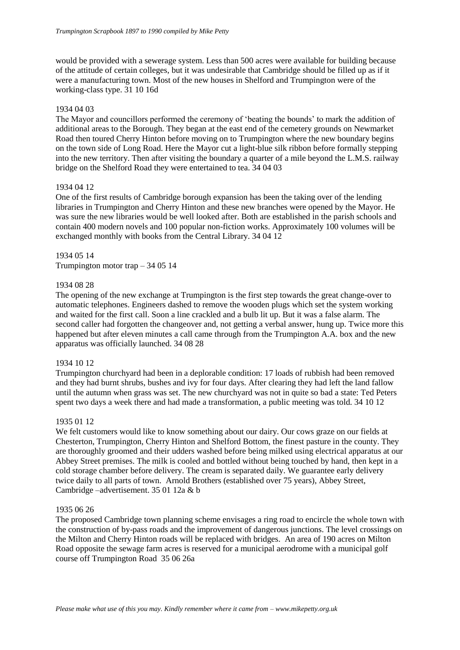would be provided with a sewerage system. Less than 500 acres were available for building because of the attitude of certain colleges, but it was undesirable that Cambridge should be filled up as if it were a manufacturing town. Most of the new houses in Shelford and Trumpington were of the working-class type. 31 10 16d

## 1934 04 03

The Mayor and councillors performed the ceremony of 'beating the bounds' to mark the addition of additional areas to the Borough. They began at the east end of the cemetery grounds on Newmarket Road then toured Cherry Hinton before moving on to Trumpington where the new boundary begins on the town side of Long Road. Here the Mayor cut a light-blue silk ribbon before formally stepping into the new territory. Then after visiting the boundary a quarter of a mile beyond the L.M.S. railway bridge on the Shelford Road they were entertained to tea. 34 04 03

## 1934 04 12

One of the first results of Cambridge borough expansion has been the taking over of the lending libraries in Trumpington and Cherry Hinton and these new branches were opened by the Mayor. He was sure the new libraries would be well looked after. Both are established in the parish schools and contain 400 modern novels and 100 popular non-fiction works. Approximately 100 volumes will be exchanged monthly with books from the Central Library. 34 04 12

## 1934 05 14

Trumpington motor trap – 34 05 14

## 1934 08 28

The opening of the new exchange at Trumpington is the first step towards the great change-over to automatic telephones. Engineers dashed to remove the wooden plugs which set the system working and waited for the first call. Soon a line crackled and a bulb lit up. But it was a false alarm. The second caller had forgotten the changeover and, not getting a verbal answer, hung up. Twice more this happened but after eleven minutes a call came through from the Trumpington A.A. box and the new apparatus was officially launched. 34 08 28

## 1934 10 12

Trumpington churchyard had been in a deplorable condition: 17 loads of rubbish had been removed and they had burnt shrubs, bushes and ivy for four days. After clearing they had left the land fallow until the autumn when grass was set. The new churchyard was not in quite so bad a state: Ted Peters spent two days a week there and had made a transformation, a public meeting was told. 34 10 12

## 1935 01 12

We felt customers would like to know something about our dairy. Our cows graze on our fields at Chesterton, Trumpington, Cherry Hinton and Shelford Bottom, the finest pasture in the county. They are thoroughly groomed and their udders washed before being milked using electrical apparatus at our Abbey Street premises. The milk is cooled and bottled without being touched by hand, then kept in a cold storage chamber before delivery. The cream is separated daily. We guarantee early delivery twice daily to all parts of town. Arnold Brothers (established over 75 years), Abbey Street, Cambridge –advertisement. 35 01 12a & b

## 1935 06 26

The proposed Cambridge town planning scheme envisages a ring road to encircle the whole town with the construction of by-pass roads and the improvement of dangerous junctions. The level crossings on the Milton and Cherry Hinton roads will be replaced with bridges. An area of 190 acres on Milton Road opposite the sewage farm acres is reserved for a municipal aerodrome with a municipal golf course off Trumpington Road 35 06 26a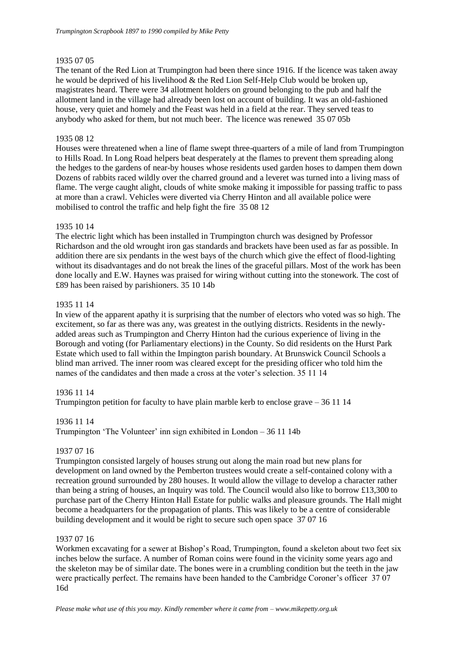## 1935 07 05

The tenant of the Red Lion at Trumpington had been there since 1916. If the licence was taken away he would be deprived of his livelihood & the Red Lion Self-Help Club would be broken up, magistrates heard. There were 34 allotment holders on ground belonging to the pub and half the allotment land in the village had already been lost on account of building. It was an old-fashioned house, very quiet and homely and the Feast was held in a field at the rear. They served teas to anybody who asked for them, but not much beer. The licence was renewed 35 07 05b

## 1935 08 12

Houses were threatened when a line of flame swept three-quarters of a mile of land from Trumpington to Hills Road. In Long Road helpers beat desperately at the flames to prevent them spreading along the hedges to the gardens of near-by houses whose residents used garden hoses to dampen them down Dozens of rabbits raced wildly over the charred ground and a leveret was turned into a living mass of flame. The verge caught alight, clouds of white smoke making it impossible for passing traffic to pass at more than a crawl. Vehicles were diverted via Cherry Hinton and all available police were mobilised to control the traffic and help fight the fire 35 08 12

## 1935 10 14

The electric light which has been installed in Trumpington church was designed by Professor Richardson and the old wrought iron gas standards and brackets have been used as far as possible. In addition there are six pendants in the west bays of the church which give the effect of flood-lighting without its disadvantages and do not break the lines of the graceful pillars. Most of the work has been done locally and E.W. Haynes was praised for wiring without cutting into the stonework. The cost of £89 has been raised by parishioners. 35 10 14b

## 1935 11 14

In view of the apparent apathy it is surprising that the number of electors who voted was so high. The excitement, so far as there was any, was greatest in the outlying districts. Residents in the newlyadded areas such as Trumpington and Cherry Hinton had the curious experience of living in the Borough and voting (for Parliamentary elections) in the County. So did residents on the Hurst Park Estate which used to fall within the Impington parish boundary. At Brunswick Council Schools a blind man arrived. The inner room was cleared except for the presiding officer who told him the names of the candidates and then made a cross at the voter's selection. 35 11 14

## 1936 11 14

Trumpington petition for faculty to have plain marble kerb to enclose grave  $-361114$ 

## 1936 11 14

Trumpington 'The Volunteer' inn sign exhibited in London – 36 11 14b

## 1937 07 16

Trumpington consisted largely of houses strung out along the main road but new plans for development on land owned by the Pemberton trustees would create a self-contained colony with a recreation ground surrounded by 280 houses. It would allow the village to develop a character rather than being a string of houses, an Inquiry was told. The Council would also like to borrow £13,300 to purchase part of the Cherry Hinton Hall Estate for public walks and pleasure grounds. The Hall might become a headquarters for the propagation of plants. This was likely to be a centre of considerable building development and it would be right to secure such open space 37 07 16

## 1937 07 16

Workmen excavating for a sewer at Bishop's Road, Trumpington, found a skeleton about two feet six inches below the surface. A number of Roman coins were found in the vicinity some years ago and the skeleton may be of similar date. The bones were in a crumbling condition but the teeth in the jaw were practically perfect. The remains have been handed to the Cambridge Coroner's officer 37 07 16d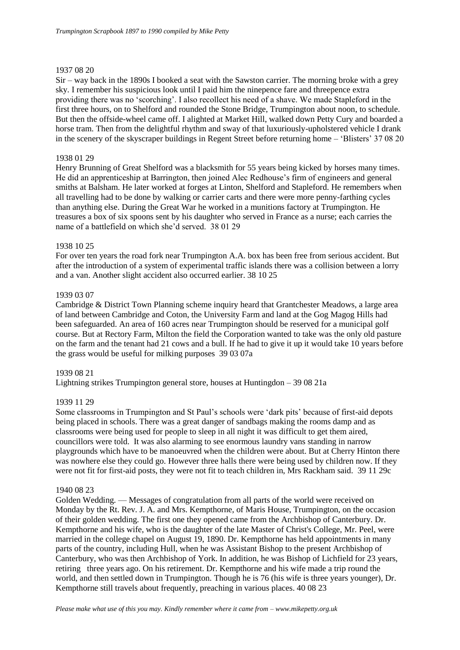## 1937 08 20

Sir – way back in the 1890s I booked a seat with the Sawston carrier. The morning broke with a grey sky. I remember his suspicious look until I paid him the ninepence fare and threepence extra providing there was no 'scorching'. I also recollect his need of a shave. We made Stapleford in the first three hours, on to Shelford and rounded the Stone Bridge, Trumpington about noon, to schedule. But then the offside-wheel came off. I alighted at Market Hill, walked down Petty Cury and boarded a horse tram. Then from the delightful rhythm and sway of that luxuriously-upholstered vehicle I drank in the scenery of the skyscraper buildings in Regent Street before returning home – 'Blisters' 37 08 20

## 1938 01 29

Henry Brunning of Great Shelford was a blacksmith for 55 years being kicked by horses many times. He did an apprenticeship at Barrington, then joined Alec Redhouse's firm of engineers and general smiths at Balsham. He later worked at forges at Linton, Shelford and Stapleford. He remembers when all travelling had to be done by walking or carrier carts and there were more penny-farthing cycles than anything else. During the Great War he worked in a munitions factory at Trumpington. He treasures a box of six spoons sent by his daughter who served in France as a nurse; each carries the name of a battlefield on which she'd served. 38 01 29

## 1938 10 25

For over ten years the road fork near Trumpington A.A. box has been free from serious accident. But after the introduction of a system of experimental traffic islands there was a collision between a lorry and a van. Another slight accident also occurred earlier. 38 10 25

## 1939 03 07

Cambridge & District Town Planning scheme inquiry heard that Grantchester Meadows, a large area of land between Cambridge and Coton, the University Farm and land at the Gog Magog Hills had been safeguarded. An area of 160 acres near Trumpington should be reserved for a municipal golf course. But at Rectory Farm, Milton the field the Corporation wanted to take was the only old pasture on the farm and the tenant had 21 cows and a bull. If he had to give it up it would take 10 years before the grass would be useful for milking purposes 39 03 07a

## 1939 08 21

Lightning strikes Trumpington general store, houses at Huntingdon – 39 08 21a

## 1939 11 29

Some classrooms in Trumpington and St Paul's schools were 'dark pits' because of first-aid depots being placed in schools. There was a great danger of sandbags making the rooms damp and as classrooms were being used for people to sleep in all night it was difficult to get them aired, councillors were told. It was also alarming to see enormous laundry vans standing in narrow playgrounds which have to be manoeuvred when the children were about. But at Cherry Hinton there was nowhere else they could go. However three halls there were being used by children now. If they were not fit for first-aid posts, they were not fit to teach children in, Mrs Rackham said. 39 11 29c

## 1940 08 23

Golden Wedding. — Messages of congratulation from all parts of the world were received on Monday by the Rt. Rev. J. A. and Mrs. Kempthorne, of Maris House, Trumpington, on the occasion of their golden wedding. The first one they opened came from the Archbishop of Canterbury. Dr. Kempthorne and his wife, who is the daughter of the late Master of Christ's College, Mr. Peel, were married in the college chapel on August 19, 1890. Dr. Kempthorne has held appointments in many parts of the country, including Hull, when he was Assistant Bishop to the present Archbishop of Canterbury, who was then Archbishop of York. In addition, he was Bishop of Lichfield for 23 years, retiring three years ago. On his retirement. Dr. Kempthorne and his wife made a trip round the world, and then settled down in Trumpington. Though he is 76 (his wife is three years younger), Dr. Kempthorne still travels about frequently, preaching in various places. 40 08 23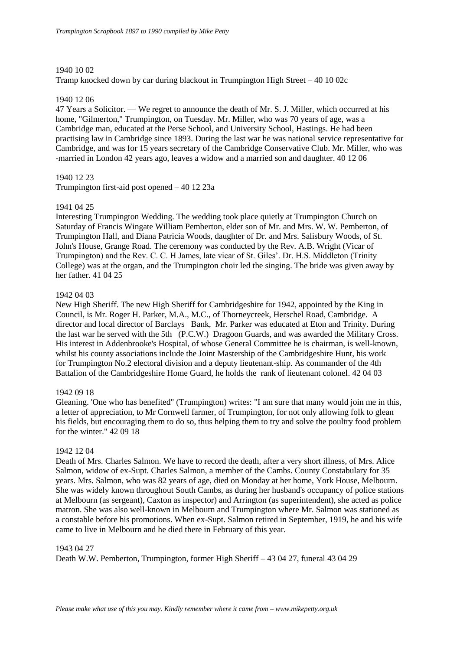## 1940 10 02

Tramp knocked down by car during blackout in Trumpington High Street – 40 10 02c

## 1940 12 06

47 Years a Solicitor. — We regret to announce the death of Mr. S. J. Miller, which occurred at his home, "Gilmerton," Trumpington, on Tuesday, Mr. Miller, who was 70 years of age, was a Cambridge man, educated at the Perse School, and University School, Hastings. He had been practising law in Cambridge since 1893. During the last war he was national service representative for Cambridge, and was for 15 years secretary of the Cambridge Conservative Club. Mr. Miller, who was -married in London 42 years ago, leaves a widow and a married son and daughter. 40 12 06

## 1940 12 23

Trumpington first-aid post opened – 40 12 23a

## 1941 04 25

Interesting Trumpington Wedding. The wedding took place quietly at Trumpington Church on Saturday of Francis Wingate William Pemberton, elder son of Mr. and Mrs. W. W. Pemberton, of Trumpington Hall, and Diana Patricia Woods, daughter of Dr. and Mrs. Salisbury Woods, of St. John's House, Grange Road. The ceremony was conducted by the Rev. A.B. Wright (Vicar of Trumpington) and the Rev. C. C. H James, late vicar of St. Giles'. Dr. H.S. Middleton (Trinity College) was at the organ, and the Trumpington choir led the singing. The bride was given away by her father. 41 04 25

## 1942 04 03

New High Sheriff. The new High Sheriff for Cambridgeshire for 1942, appointed by the King in Council, is Mr. Roger H. Parker, M.A., M.C., of Thorneycreek, Herschel Road, Cambridge. A director and local director of Barclays Bank, Mr. Parker was educated at Eton and Trinity. During the last war he served with the 5th (P.C.W.) Dragoon Guards, and was awarded the Military Cross. His interest in Addenbrooke's Hospital, of whose General Committee he is chairman, is well-known, whilst his county associations include the Joint Mastership of the Cambridgeshire Hunt, his work for Trumpington No.2 electoral division and a deputy lieutenant-ship. As commander of the 4th Battalion of the Cambridgeshire Home Guard, he holds the rank of lieutenant colonel. 42 04 03

## 1942 09 18

Gleaning. 'One who has benefited" (Trumpington) writes: "I am sure that many would join me in this, a letter of appreciation, to Mr Cornwell farmer, of Trumpington, for not only allowing folk to glean his fields, but encouraging them to do so, thus helping them to try and solve the poultry food problem for the winter." 42 09 18

## 1942 12 04

Death of Mrs. Charles Salmon. We have to record the death, after a very short illness, of Mrs. Alice Salmon, widow of ex-Supt. Charles Salmon, a member of the Cambs. County Constabulary for 35 years. Mrs. Salmon, who was 82 years of age, died on Monday at her home, York House, Melbourn. She was widely known throughout South Cambs, as during her husband's occupancy of police stations at Melbourn (as sergeant), Caxton as inspector) and Arrington (as superintendent), she acted as police matron. She was also well-known in Melbourn and Trumpington where Mr. Salmon was stationed as a constable before his promotions. When ex-Supt. Salmon retired in September, 1919, he and his wife came to live in Melbourn and he died there in February of this year.

## 1943 04 27

Death W.W. Pemberton, Trumpington, former High Sheriff – 43 04 27, funeral 43 04 29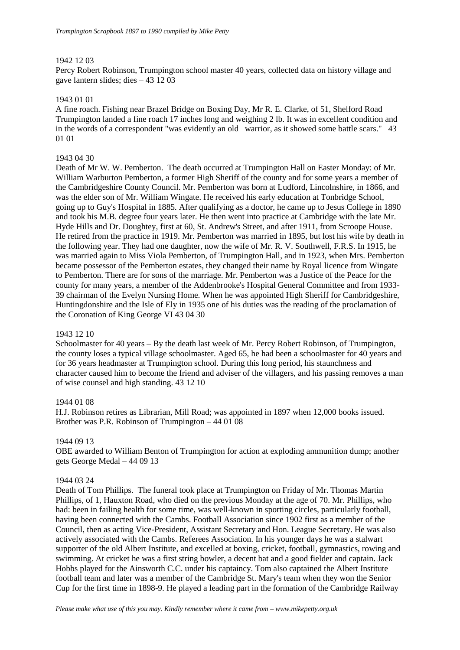## 1942 12 03

Percy Robert Robinson, Trumpington school master 40 years, collected data on history village and gave lantern slides; dies – 43 12 03

## 1943 01 01

A fine roach. Fishing near Brazel Bridge on Boxing Day, Mr R. E. Clarke, of 51, Shelford Road Trumpington landed a fine roach 17 inches long and weighing 2 lb. It was in excellent condition and in the words of a correspondent "was evidently an old warrior, as it showed some battle scars." 43 01 01

## 1943 04 30

Death of Mr W. W. Pemberton. The death occurred at Trumpington Hall on Easter Monday: of Mr. William Warburton Pemberton, a former High Sheriff of the county and for some years a member of the Cambridgeshire County Council. Mr. Pemberton was born at Ludford, Lincolnshire, in 1866, and was the elder son of Mr. William Wingate. He received his early education at Tonbridge School, going up to Guy's Hospital in 1885. After qualifying as a doctor, he came up to Jesus College in 1890 and took his M.B. degree four years later. He then went into practice at Cambridge with the late Mr. Hyde Hills and Dr. Doughtey, first at 60, St. Andrew's Street, and after 1911, from Scroope House. He retired from the practice in 1919. Mr. Pemberton was married in 1895, but lost his wife by death in the following year. They had one daughter, now the wife of Mr. R. V. Southwell, F.R.S. In 1915, he was married again to Miss Viola Pemberton, of Trumpington Hall, and in 1923, when Mrs. Pemberton became possessor of the Pemberton estates, they changed their name by Royal licence from Wingate to Pemberton. There are for sons of the marriage. Mr. Pemberton was a Justice of the Peace for the county for many years, a member of the Addenbrooke's Hospital General Committee and from 1933- 39 chairman of the Evelyn Nursing Home. When he was appointed High Sheriff for Cambridgeshire, Huntingdonshire and the Isle of Ely in 1935 one of his duties was the reading of the proclamation of the Coronation of King George VI 43 04 30

## 1943 12 10

Schoolmaster for 40 years – By the death last week of Mr. Percy Robert Robinson, of Trumpington, the county loses a typical village schoolmaster. Aged 65, he had been a schoolmaster for 40 years and for 36 years headmaster at Trumpington school. During this long period, his staunchness and character caused him to become the friend and adviser of the villagers, and his passing removes a man of wise counsel and high standing. 43 12 10

## 1944 01 08

H.J. Robinson retires as Librarian, Mill Road; was appointed in 1897 when 12,000 books issued. Brother was P.R. Robinson of Trumpington – 44 01 08

## 1944 09 13

OBE awarded to William Benton of Trumpington for action at exploding ammunition dump; another gets George Medal – 44 09 13

## 1944 03 24

Death of Tom Phillips. The funeral took place at Trumpington on Friday of Mr. Thomas Martin Phillips, of 1, Hauxton Road, who died on the previous Monday at the age of 70. Mr. Phillips, who had: been in failing health for some time, was well-known in sporting circles, particularly football, having been connected with the Cambs. Football Association since 1902 first as a member of the Council, then as acting Vice-President, Assistant Secretary and Hon. League Secretary. He was also actively associated with the Cambs. Referees Association. In his younger days he was a stalwart supporter of the old Albert Institute, and excelled at boxing, cricket, football, gymnastics, rowing and swimming. At cricket he was a first string bowler, a decent bat and a good fielder and captain. Jack Hobbs played for the Ainsworth C.C. under his captaincy. Tom also captained the Albert Institute football team and later was a member of the Cambridge St. Mary's team when they won the Senior Cup for the first time in 1898-9. He played a leading part in the formation of the Cambridge Railway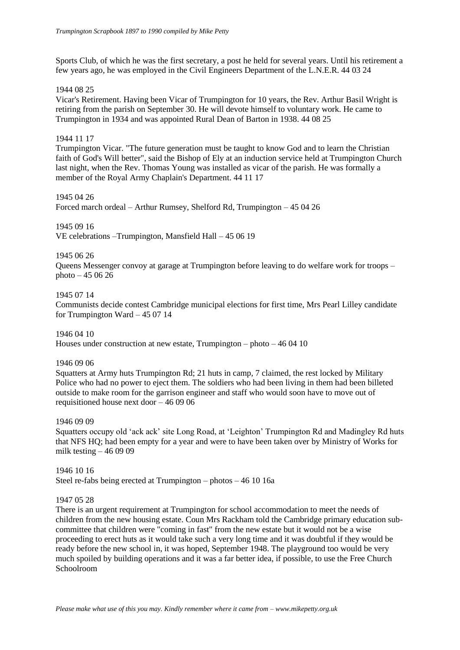Sports Club, of which he was the first secretary, a post he held for several years. Until his retirement a few years ago, he was employed in the Civil Engineers Department of the L.N.E.R. 44 03 24

## 1944 08 25

Vicar's Retirement. Having been Vicar of Trumpington for 10 years, the Rev. Arthur Basil Wright is retiring from the parish on September 30. He will devote himself to voluntary work. He came to Trumpington in 1934 and was appointed Rural Dean of Barton in 1938. 44 08 25

## 1944 11 17

Trumpington Vicar. "The future generation must be taught to know God and to learn the Christian faith of God's Will better", said the Bishop of Ely at an induction service held at Trumpington Church last night, when the Rev. Thomas Young was installed as vicar of the parish. He was formally a member of the Royal Army Chaplain's Department. 44 11 17

#### 1945 04 26

Forced march ordeal – Arthur Rumsey, Shelford Rd, Trumpington – 45 04 26

## 1945 09 16

VE celebrations –Trumpington, Mansfield Hall – 45 06 19

#### 1945 06 26

Queens Messenger convoy at garage at Trumpington before leaving to do welfare work for troops – photo – 45 06 26

#### 1945 07 14

Communists decide contest Cambridge municipal elections for first time, Mrs Pearl Lilley candidate for Trumpington Ward – 45 07 14

1946 04 10 Houses under construction at new estate, Trumpington – photo – 46 04 10

#### 1946 09 06

Squatters at Army huts Trumpington Rd; 21 huts in camp, 7 claimed, the rest locked by Military Police who had no power to eject them. The soldiers who had been living in them had been billeted outside to make room for the garrison engineer and staff who would soon have to move out of requisitioned house next door – 46 09 06

## 1946 09 09

Squatters occupy old 'ack ack' site Long Road, at 'Leighton' Trumpington Rd and Madingley Rd huts that NFS HQ; had been empty for a year and were to have been taken over by Ministry of Works for milk testing  $-460909$ 

1946 10 16 Steel re-fabs being erected at Trumpington – photos – 46 10 16a

#### 1947 05 28

There is an urgent requirement at Trumpington for school accommodation to meet the needs of children from the new housing estate. Coun Mrs Rackham told the Cambridge primary education subcommittee that children were "coming in fast" from the new estate but it would not be a wise proceeding to erect huts as it would take such a very long time and it was doubtful if they would be ready before the new school in, it was hoped, September 1948. The playground too would be very much spoiled by building operations and it was a far better idea, if possible, to use the Free Church Schoolroom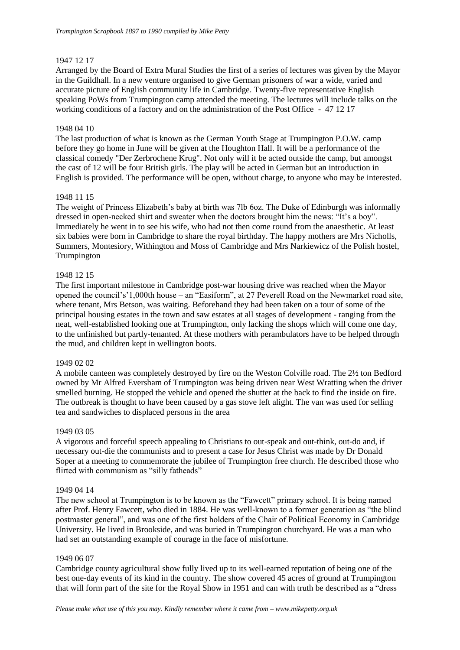## 1947 12 17

Arranged by the Board of Extra Mural Studies the first of a series of lectures was given by the Mayor in the Guildhall. In a new venture organised to give German prisoners of war a wide, varied and accurate picture of English community life in Cambridge. Twenty-five representative English speaking PoWs from Trumpington camp attended the meeting. The lectures will include talks on the working conditions of a factory and on the administration of the Post Office - 47 12 17

## 1948 04 10

The last production of what is known as the German Youth Stage at Trumpington P.O.W. camp before they go home in June will be given at the Houghton Hall. It will be a performance of the classical comedy "Der Zerbrochene Krug". Not only will it be acted outside the camp, but amongst the cast of 12 will be four British girls. The play will be acted in German but an introduction in English is provided. The performance will be open, without charge, to anyone who may be interested.

## 1948 11 15

The weight of Princess Elizabeth's baby at birth was 7lb 6oz. The Duke of Edinburgh was informally dressed in open-necked shirt and sweater when the doctors brought him the news: "It's a boy". Immediately he went in to see his wife, who had not then come round from the anaesthetic. At least six babies were born in Cambridge to share the royal birthday. The happy mothers are Mrs Nicholls, Summers, Montesiory, Withington and Moss of Cambridge and Mrs Narkiewicz of the Polish hostel, Trumpington

## 1948 12 15

The first important milestone in Cambridge post-war housing drive was reached when the Mayor opened the council's'1,000th house – an "Easiform", at 27 Peverell Road on the Newmarket road site, where tenant, Mrs Betson, was waiting. Beforehand they had been taken on a tour of some of the principal housing estates in the town and saw estates at all stages of development - ranging from the neat, well-established looking one at Trumpington, only lacking the shops which will come one day, to the unfinished but partly-tenanted. At these mothers with perambulators have to be helped through the mud, and children kept in wellington boots.

## 1949 02 02

A mobile canteen was completely destroyed by fire on the Weston Colville road. The 2½ ton Bedford owned by Mr Alfred Eversham of Trumpington was being driven near West Wratting when the driver smelled burning. He stopped the vehicle and opened the shutter at the back to find the inside on fire. The outbreak is thought to have been caused by a gas stove left alight. The van was used for selling tea and sandwiches to displaced persons in the area

## 1949 03 05

A vigorous and forceful speech appealing to Christians to out-speak and out-think, out-do and, if necessary out-die the communists and to present a case for Jesus Christ was made by Dr Donald Soper at a meeting to commemorate the jubilee of Trumpington free church. He described those who flirted with communism as "silly fatheads"

## 1949 04 14

The new school at Trumpington is to be known as the "Fawcett" primary school. It is being named after Prof. Henry Fawcett, who died in 1884. He was well-known to a former generation as "the blind postmaster general", and was one of the first holders of the Chair of Political Economy in Cambridge University. He lived in Brookside, and was buried in Trumpington churchyard. He was a man who had set an outstanding example of courage in the face of misfortune.

## 1949 06 07

Cambridge county agricultural show fully lived up to its well-earned reputation of being one of the best one-day events of its kind in the country. The show covered 45 acres of ground at Trumpington that will form part of the site for the Royal Show in 1951 and can with truth be described as a "dress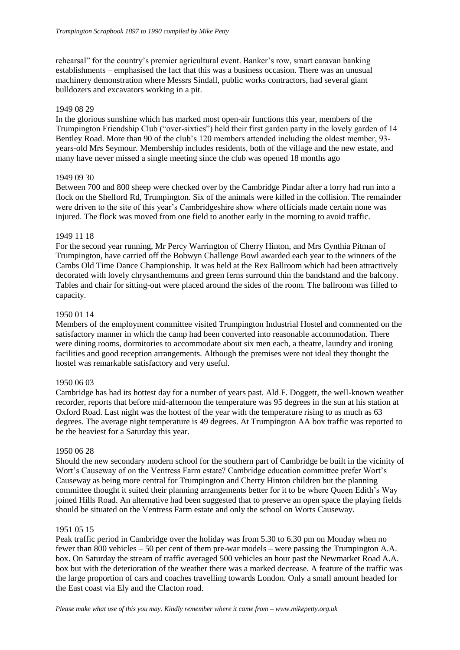rehearsal" for the country's premier agricultural event. Banker's row, smart caravan banking establishments – emphasised the fact that this was a business occasion. There was an unusual machinery demonstration where Messrs Sindall, public works contractors, had several giant bulldozers and excavators working in a pit.

## 1949 08 29

In the glorious sunshine which has marked most open-air functions this year, members of the Trumpington Friendship Club ("over-sixties") held their first garden party in the lovely garden of 14 Bentley Road. More than 90 of the club's 120 members attended including the oldest member, 93 years-old Mrs Seymour. Membership includes residents, both of the village and the new estate, and many have never missed a single meeting since the club was opened 18 months ago

## 1949 09 30

Between 700 and 800 sheep were checked over by the Cambridge Pindar after a lorry had run into a flock on the Shelford Rd, Trumpington. Six of the animals were killed in the collision. The remainder were driven to the site of this year's Cambridgeshire show where officials made certain none was injured. The flock was moved from one field to another early in the morning to avoid traffic.

## 1949 11 18

For the second year running, Mr Percy Warrington of Cherry Hinton, and Mrs Cynthia Pitman of Trumpington, have carried off the Bobwyn Challenge Bowl awarded each year to the winners of the Cambs Old Time Dance Championship. It was held at the Rex Ballroom which had been attractively decorated with lovely chrysanthemums and green ferns surround thin the bandstand and the balcony. Tables and chair for sitting-out were placed around the sides of the room. The ballroom was filled to capacity.

## 1950 01 14

Members of the employment committee visited Trumpington Industrial Hostel and commented on the satisfactory manner in which the camp had been converted into reasonable accommodation. There were dining rooms, dormitories to accommodate about six men each, a theatre, laundry and ironing facilities and good reception arrangements. Although the premises were not ideal they thought the hostel was remarkable satisfactory and very useful.

## 1950 06 03

Cambridge has had its hottest day for a number of years past. Ald F. Doggett, the well-known weather recorder, reports that before mid-afternoon the temperature was 95 degrees in the sun at his station at Oxford Road. Last night was the hottest of the year with the temperature rising to as much as 63 degrees. The average night temperature is 49 degrees. At Trumpington AA box traffic was reported to be the heaviest for a Saturday this year.

## 1950 06 28

Should the new secondary modern school for the southern part of Cambridge be built in the vicinity of Wort's Causeway of on the Ventress Farm estate? Cambridge education committee prefer Wort's Causeway as being more central for Trumpington and Cherry Hinton children but the planning committee thought it suited their planning arrangements better for it to be where Queen Edith's Way joined Hills Road. An alternative had been suggested that to preserve an open space the playing fields should be situated on the Ventress Farm estate and only the school on Worts Causeway.

## 1951 05 15

Peak traffic period in Cambridge over the holiday was from 5.30 to 6.30 pm on Monday when no fewer than 800 vehicles – 50 per cent of them pre-war models – were passing the Trumpington A.A. box. On Saturday the stream of traffic averaged 500 vehicles an hour past the Newmarket Road A.A. box but with the deterioration of the weather there was a marked decrease. A feature of the traffic was the large proportion of cars and coaches travelling towards London. Only a small amount headed for the East coast via Ely and the Clacton road.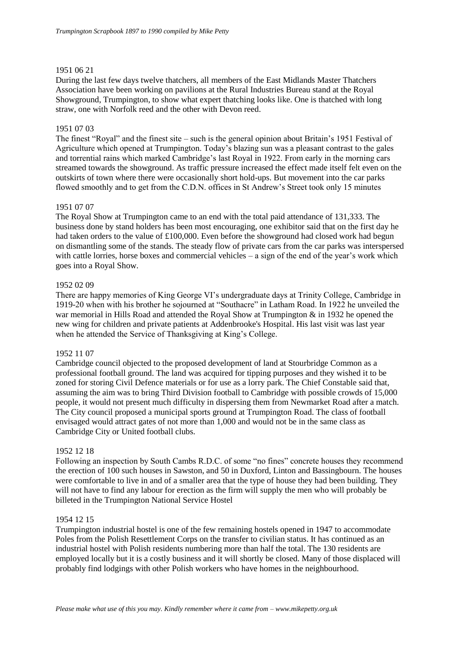## 1951 06 21

During the last few days twelve thatchers, all members of the East Midlands Master Thatchers Association have been working on pavilions at the Rural Industries Bureau stand at the Royal Showground, Trumpington, to show what expert thatching looks like. One is thatched with long straw, one with Norfolk reed and the other with Devon reed.

## 1951 07 03

The finest "Royal" and the finest site – such is the general opinion about Britain's 1951 Festival of Agriculture which opened at Trumpington. Today's blazing sun was a pleasant contrast to the gales and torrential rains which marked Cambridge's last Royal in 1922. From early in the morning cars streamed towards the showground. As traffic pressure increased the effect made itself felt even on the outskirts of town where there were occasionally short hold-ups. But movement into the car parks flowed smoothly and to get from the C.D.N. offices in St Andrew's Street took only 15 minutes

## 1951 07 07

The Royal Show at Trumpington came to an end with the total paid attendance of 131,333. The business done by stand holders has been most encouraging, one exhibitor said that on the first day he had taken orders to the value of £100,000. Even before the showground had closed work had begun on dismantling some of the stands. The steady flow of private cars from the car parks was interspersed with cattle lorries, horse boxes and commercial vehicles – a sign of the end of the year's work which goes into a Royal Show.

## 1952 02 09

There are happy memories of King George VI's undergraduate days at Trinity College, Cambridge in 1919-20 when with his brother he sojourned at "Southacre" in Latham Road. In 1922 he unveiled the war memorial in Hills Road and attended the Royal Show at Trumpington & in 1932 he opened the new wing for children and private patients at Addenbrooke's Hospital. His last visit was last year when he attended the Service of Thanksgiving at King's College.

## 1952 11 07

Cambridge council objected to the proposed development of land at Stourbridge Common as a professional football ground. The land was acquired for tipping purposes and they wished it to be zoned for storing Civil Defence materials or for use as a lorry park. The Chief Constable said that, assuming the aim was to bring Third Division football to Cambridge with possible crowds of 15,000 people, it would not present much difficulty in dispersing them from Newmarket Road after a match. The City council proposed a municipal sports ground at Trumpington Road. The class of football envisaged would attract gates of not more than 1,000 and would not be in the same class as Cambridge City or United football clubs.

## 1952 12 18

Following an inspection by South Cambs R.D.C. of some "no fines" concrete houses they recommend the erection of 100 such houses in Sawston, and 50 in Duxford, Linton and Bassingbourn. The houses were comfortable to live in and of a smaller area that the type of house they had been building. They will not have to find any labour for erection as the firm will supply the men who will probably be billeted in the Trumpington National Service Hostel

## 1954 12 15

Trumpington industrial hostel is one of the few remaining hostels opened in 1947 to accommodate Poles from the Polish Resettlement Corps on the transfer to civilian status. It has continued as an industrial hostel with Polish residents numbering more than half the total. The 130 residents are employed locally but it is a costly business and it will shortly be closed. Many of those displaced will probably find lodgings with other Polish workers who have homes in the neighbourhood.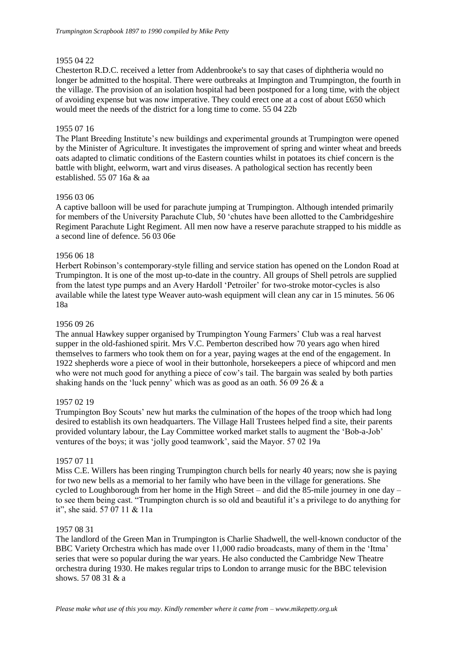## 1955 04 22

Chesterton R.D.C. received a letter from Addenbrooke's to say that cases of diphtheria would no longer be admitted to the hospital. There were outbreaks at Impington and Trumpington, the fourth in the village. The provision of an isolation hospital had been postponed for a long time, with the object of avoiding expense but was now imperative. They could erect one at a cost of about £650 which would meet the needs of the district for a long time to come. 55 04 22b

## 1955 07 16

The Plant Breeding Institute's new buildings and experimental grounds at Trumpington were opened by the Minister of Agriculture. It investigates the improvement of spring and winter wheat and breeds oats adapted to climatic conditions of the Eastern counties whilst in potatoes its chief concern is the battle with blight, eelworm, wart and virus diseases. A pathological section has recently been established. 55 07 16a & aa

## 1956 03 06

A captive balloon will be used for parachute jumping at Trumpington. Although intended primarily for members of the University Parachute Club, 50 'chutes have been allotted to the Cambridgeshire Regiment Parachute Light Regiment. All men now have a reserve parachute strapped to his middle as a second line of defence. 56 03 06e

## 1956 06 18

Herbert Robinson's contemporary-style filling and service station has opened on the London Road at Trumpington. It is one of the most up-to-date in the country. All groups of Shell petrols are supplied from the latest type pumps and an Avery Hardoll 'Petroiler' for two-stroke motor-cycles is also available while the latest type Weaver auto-wash equipment will clean any car in 15 minutes. 56 06 18a

## 1956 09 26

The annual Hawkey supper organised by Trumpington Young Farmers' Club was a real harvest supper in the old-fashioned spirit. Mrs V.C. Pemberton described how 70 years ago when hired themselves to farmers who took them on for a year, paying wages at the end of the engagement. In 1922 shepherds wore a piece of wool in their buttonhole, horsekeepers a piece of whipcord and men who were not much good for anything a piece of cow's tail. The bargain was sealed by both parties shaking hands on the 'luck penny' which was as good as an oath. 56 09 26 & a

## 1957 02 19

Trumpington Boy Scouts' new hut marks the culmination of the hopes of the troop which had long desired to establish its own headquarters. The Village Hall Trustees helped find a site, their parents provided voluntary labour, the Lay Committee worked market stalls to augment the 'Bob-a-Job' ventures of the boys; it was 'jolly good teamwork', said the Mayor. 57 02 19a

## 1957 07 11

Miss C.E. Willers has been ringing Trumpington church bells for nearly 40 years; now she is paying for two new bells as a memorial to her family who have been in the village for generations. She cycled to Loughborough from her home in the High Street – and did the 85-mile journey in one day – to see them being cast. "Trumpington church is so old and beautiful it's a privilege to do anything for it", she said. 57 07 11 & 11a

## 1957 08 31

The landlord of the Green Man in Trumpington is Charlie Shadwell, the well-known conductor of the BBC Variety Orchestra which has made over 11,000 radio broadcasts, many of them in the 'Itma' series that were so popular during the war years. He also conducted the Cambridge New Theatre orchestra during 1930. He makes regular trips to London to arrange music for the BBC television shows. 57 08 31 & a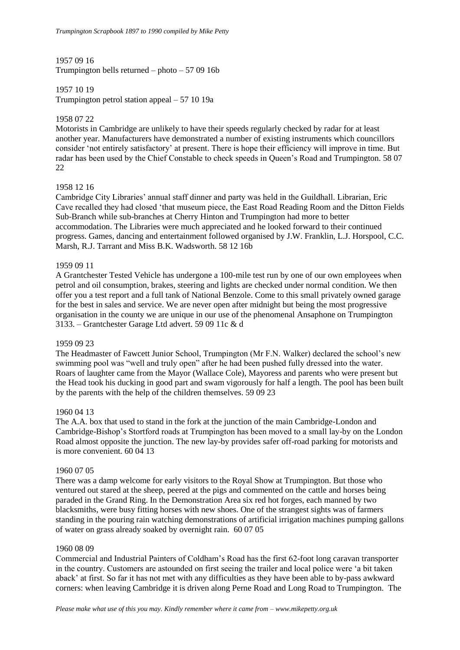## 1957 09 16

Trumpington bells returned – photo – 57 09 16b

## 1957 10 19

Trumpington petrol station appeal – 57 10 19a

## 1958 07 22

Motorists in Cambridge are unlikely to have their speeds regularly checked by radar for at least another year. Manufacturers have demonstrated a number of existing instruments which councillors consider 'not entirely satisfactory' at present. There is hope their efficiency will improve in time. But radar has been used by the Chief Constable to check speeds in Queen's Road and Trumpington. 58 07 22

## 1958 12 16

Cambridge City Libraries' annual staff dinner and party was held in the Guildhall. Librarian, Eric Cave recalled they had closed 'that museum piece, the East Road Reading Room and the Ditton Fields Sub-Branch while sub-branches at Cherry Hinton and Trumpington had more to better accommodation. The Libraries were much appreciated and he looked forward to their continued progress. Games, dancing and entertainment followed organised by J.W. Franklin, L.J. Horspool, C.C. Marsh, R.J. Tarrant and Miss B.K. Wadsworth. 58 12 16b

## 1959 09 11

A Grantchester Tested Vehicle has undergone a 100-mile test run by one of our own employees when petrol and oil consumption, brakes, steering and lights are checked under normal condition. We then offer you a test report and a full tank of National Benzole. Come to this small privately owned garage for the best in sales and service. We are never open after midnight but being the most progressive organisation in the county we are unique in our use of the phenomenal Ansaphone on Trumpington 3133. – Grantchester Garage Ltd advert. 59 09 11c & d

## 1959 09 23

The Headmaster of Fawcett Junior School, Trumpington (Mr F.N. Walker) declared the school's new swimming pool was "well and truly open" after he had been pushed fully dressed into the water. Roars of laughter came from the Mayor (Wallace Cole), Mayoress and parents who were present but the Head took his ducking in good part and swam vigorously for half a length. The pool has been built by the parents with the help of the children themselves. 59 09 23

## 1960 04 13

The A.A. box that used to stand in the fork at the junction of the main Cambridge-London and Cambridge-Bishop's Stortford roads at Trumpington has been moved to a small lay-by on the London Road almost opposite the junction. The new lay-by provides safer off-road parking for motorists and is more convenient. 60 04 13

## 1960 07 05

There was a damp welcome for early visitors to the Royal Show at Trumpington. But those who ventured out stared at the sheep, peered at the pigs and commented on the cattle and horses being paraded in the Grand Ring. In the Demonstration Area six red hot forges, each manned by two blacksmiths, were busy fitting horses with new shoes. One of the strangest sights was of farmers standing in the pouring rain watching demonstrations of artificial irrigation machines pumping gallons of water on grass already soaked by overnight rain. 60 07 05

## 1960 08 09

Commercial and Industrial Painters of Coldham's Road has the first 62-foot long caravan transporter in the country. Customers are astounded on first seeing the trailer and local police were 'a bit taken aback' at first. So far it has not met with any difficulties as they have been able to by-pass awkward corners: when leaving Cambridge it is driven along Perne Road and Long Road to Trumpington. The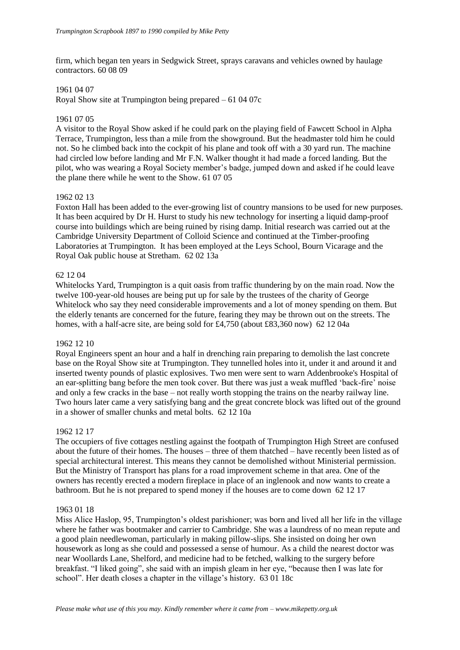firm, which began ten years in Sedgwick Street, sprays caravans and vehicles owned by haulage contractors. 60 08 09

## 1961 04 07

Royal Show site at Trumpington being prepared – 61 04 07c

#### 1961 07 05

A visitor to the Royal Show asked if he could park on the playing field of Fawcett School in Alpha Terrace, Trumpington, less than a mile from the showground. But the headmaster told him he could not. So he climbed back into the cockpit of his plane and took off with a 30 yard run. The machine had circled low before landing and Mr F.N. Walker thought it had made a forced landing. But the pilot, who was wearing a Royal Society member's badge, jumped down and asked if he could leave the plane there while he went to the Show. 61 07 05

#### 1962 02 13

Foxton Hall has been added to the ever-growing list of country mansions to be used for new purposes. It has been acquired by Dr H. Hurst to study his new technology for inserting a liquid damp-proof course into buildings which are being ruined by rising damp. Initial research was carried out at the Cambridge University Department of Colloid Science and continued at the Timber-proofing Laboratories at Trumpington. It has been employed at the Leys School, Bourn Vicarage and the Royal Oak public house at Stretham. 62 02 13a

#### 62 12 04

Whitelocks Yard, Trumpington is a quit oasis from traffic thundering by on the main road. Now the twelve 100-year-old houses are being put up for sale by the trustees of the charity of George Whitelock who say they need considerable improvements and a lot of money spending on them. But the elderly tenants are concerned for the future, fearing they may be thrown out on the streets. The homes, with a half-acre site, are being sold for £4,750 (about £83,360 now) 62 12 04a

## 1962 12 10

Royal Engineers spent an hour and a half in drenching rain preparing to demolish the last concrete base on the Royal Show site at Trumpington. They tunnelled holes into it, under it and around it and inserted twenty pounds of plastic explosives. Two men were sent to warn Addenbrooke's Hospital of an ear-splitting bang before the men took cover. But there was just a weak muffled 'back-fire' noise and only a few cracks in the base – not really worth stopping the trains on the nearby railway line. Two hours later came a very satisfying bang and the great concrete block was lifted out of the ground in a shower of smaller chunks and metal bolts. 62 12 10a

## 1962 12 17

The occupiers of five cottages nestling against the footpath of Trumpington High Street are confused about the future of their homes. The houses – three of them thatched – have recently been listed as of special architectural interest. This means they cannot be demolished without Ministerial permission. But the Ministry of Transport has plans for a road improvement scheme in that area. One of the owners has recently erected a modern fireplace in place of an inglenook and now wants to create a bathroom. But he is not prepared to spend money if the houses are to come down 62 12 17

#### 1963 01 18

Miss Alice Haslop, 95, Trumpington's oldest parishioner; was born and lived all her life in the village where he father was bootmaker and carrier to Cambridge. She was a laundress of no mean repute and a good plain needlewoman, particularly in making pillow-slips. She insisted on doing her own housework as long as she could and possessed a sense of humour. As a child the nearest doctor was near Woollards Lane, Shelford, and medicine had to be fetched, walking to the surgery before breakfast. "I liked going", she said with an impish gleam in her eye, "because then I was late for school". Her death closes a chapter in the village's history. 63 01 18c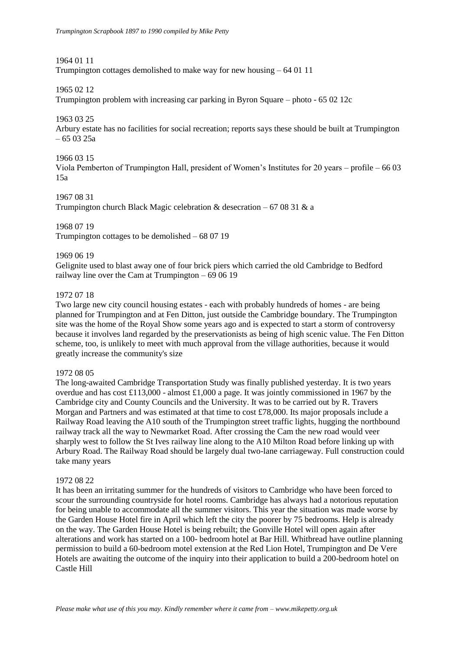1964 01 11

Trumpington cottages demolished to make way for new housing – 64 01 11

1965 02 12

Trumpington problem with increasing car parking in Byron Square – photo - 65 02 12c

## 1963 03 25

Arbury estate has no facilities for social recreation; reports says these should be built at Trumpington  $-650325a$ 

## 1966 03 15

Viola Pemberton of Trumpington Hall, president of Women's Institutes for 20 years – profile – 66 03 15a

## 1967 08 31

Trumpington church Black Magic celebration & desecration – 67 08 31 & a

1968 07 19 Trumpington cottages to be demolished – 68 07 19

## 1969 06 19

Gelignite used to blast away one of four brick piers which carried the old Cambridge to Bedford railway line over the Cam at Trumpington – 69 06 19

## 1972 07 18

Two large new city council housing estates - each with probably hundreds of homes - are being planned for Trumpington and at Fen Ditton, just outside the Cambridge boundary. The Trumpington site was the home of the Royal Show some years ago and is expected to start a storm of controversy because it involves land regarded by the preservationists as being of high scenic value. The Fen Ditton scheme, too, is unlikely to meet with much approval from the village authorities, because it would greatly increase the community's size

## 1972 08 05

The long-awaited Cambridge Transportation Study was finally published yesterday. It is two years overdue and has cost £113,000 - almost £1,000 a page. It was jointly commissioned in 1967 by the Cambridge city and County Councils and the University. It was to be carried out by R. Travers Morgan and Partners and was estimated at that time to cost £78,000. Its major proposals include a Railway Road leaving the A10 south of the Trumpington street traffic lights, hugging the northbound railway track all the way to Newmarket Road. After crossing the Cam the new road would veer sharply west to follow the St Ives railway line along to the A10 Milton Road before linking up with Arbury Road. The Railway Road should be largely dual two-lane carriageway. Full construction could take many years

## 1972 08 22

It has been an irritating summer for the hundreds of visitors to Cambridge who have been forced to scour the surrounding countryside for hotel rooms. Cambridge has always had a notorious reputation for being unable to accommodate all the summer visitors. This year the situation was made worse by the Garden House Hotel fire in April which left the city the poorer by 75 bedrooms. Help is already on the way. The Garden House Hotel is being rebuilt; the Gonville Hotel will open again after alterations and work has started on a 100- bedroom hotel at Bar Hill. Whitbread have outline planning permission to build a 60-bedroom motel extension at the Red Lion Hotel, Trumpington and De Vere Hotels are awaiting the outcome of the inquiry into their application to build a 200-bedroom hotel on Castle Hill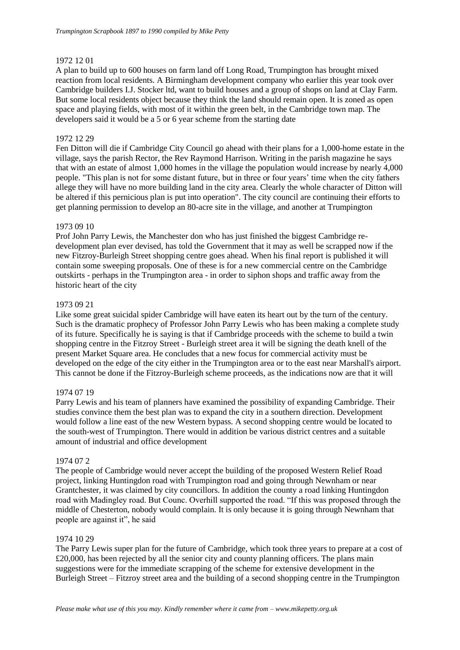## 1972 12 01

A plan to build up to 600 houses on farm land off Long Road, Trumpington has brought mixed reaction from local residents. A Birmingham development company who earlier this year took over Cambridge builders I.J. Stocker ltd, want to build houses and a group of shops on land at Clay Farm. But some local residents object because they think the land should remain open. It is zoned as open space and playing fields, with most of it within the green belt, in the Cambridge town map. The developers said it would be a 5 or 6 year scheme from the starting date

## 1972 12 29

Fen Ditton will die if Cambridge City Council go ahead with their plans for a 1,000-home estate in the village, says the parish Rector, the Rev Raymond Harrison. Writing in the parish magazine he says that with an estate of almost 1,000 homes in the village the population would increase by nearly 4,000 people. "This plan is not for some distant future, but in three or four years' time when the city fathers allege they will have no more building land in the city area. Clearly the whole character of Ditton will be altered if this pernicious plan is put into operation". The city council are continuing their efforts to get planning permission to develop an 80-acre site in the village, and another at Trumpington

## 1973 09 10

Prof John Parry Lewis, the Manchester don who has just finished the biggest Cambridge redevelopment plan ever devised, has told the Government that it may as well be scrapped now if the new Fitzroy-Burleigh Street shopping centre goes ahead. When his final report is published it will contain some sweeping proposals. One of these is for a new commercial centre on the Cambridge outskirts - perhaps in the Trumpington area - in order to siphon shops and traffic away from the historic heart of the city

## 1973 09 21

Like some great suicidal spider Cambridge will have eaten its heart out by the turn of the century. Such is the dramatic prophecy of Professor John Parry Lewis who has been making a complete study of its future. Specifically he is saying is that if Cambridge proceeds with the scheme to build a twin shopping centre in the Fitzroy Street - Burleigh street area it will be signing the death knell of the present Market Square area. He concludes that a new focus for commercial activity must be developed on the edge of the city either in the Trumpington area or to the east near Marshall's airport. This cannot be done if the Fitzroy-Burleigh scheme proceeds, as the indications now are that it will

## 1974 07 19

Parry Lewis and his team of planners have examined the possibility of expanding Cambridge. Their studies convince them the best plan was to expand the city in a southern direction. Development would follow a line east of the new Western bypass. A second shopping centre would be located to the south-west of Trumpington. There would in addition be various district centres and a suitable amount of industrial and office development

## 1974 07 2

The people of Cambridge would never accept the building of the proposed Western Relief Road project, linking Huntingdon road with Trumpington road and going through Newnham or near Grantchester, it was claimed by city councillors. In addition the county a road linking Huntingdon road with Madingley road. But Counc. Overhill supported the road. "If this was proposed through the middle of Chesterton, nobody would complain. It is only because it is going through Newnham that people are against it", he said

## 1974 10 29

The Parry Lewis super plan for the future of Cambridge, which took three years to prepare at a cost of  $£20,000$ , has been rejected by all the senior city and county planning officers. The plans main suggestions were for the immediate scrapping of the scheme for extensive development in the Burleigh Street – Fitzroy street area and the building of a second shopping centre in the Trumpington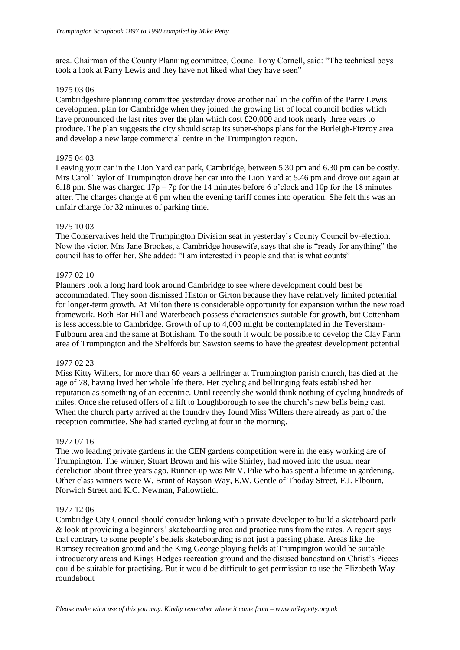area. Chairman of the County Planning committee, Counc. Tony Cornell, said: "The technical boys took a look at Parry Lewis and they have not liked what they have seen"

## 1975 03 06

Cambridgeshire planning committee yesterday drove another nail in the coffin of the Parry Lewis development plan for Cambridge when they joined the growing list of local council bodies which have pronounced the last rites over the plan which cost £20,000 and took nearly three years to produce. The plan suggests the city should scrap its super-shops plans for the Burleigh-Fitzroy area and develop a new large commercial centre in the Trumpington region.

## 1975 04 03

Leaving your car in the Lion Yard car park, Cambridge, between 5.30 pm and 6.30 pm can be costly. Mrs Carol Taylor of Trumpington drove her car into the Lion Yard at 5.46 pm and drove out again at 6.18 pm. She was charged  $17p - 7p$  for the 14 minutes before 6 o'clock and 10p for the 18 minutes after. The charges change at 6 pm when the evening tariff comes into operation. She felt this was an unfair charge for 32 minutes of parking time.

## 1975 10 03

The Conservatives held the Trumpington Division seat in yesterday's County Council by-election. Now the victor, Mrs Jane Brookes, a Cambridge housewife, says that she is "ready for anything" the council has to offer her. She added: "I am interested in people and that is what counts"

## 1977 02 10

Planners took a long hard look around Cambridge to see where development could best be accommodated. They soon dismissed Histon or Girton because they have relatively limited potential for longer-term growth. At Milton there is considerable opportunity for expansion within the new road framework. Both Bar Hill and Waterbeach possess characteristics suitable for growth, but Cottenham is less accessible to Cambridge. Growth of up to 4,000 might be contemplated in the Teversham-Fulbourn area and the same at Bottisham. To the south it would be possible to develop the Clay Farm area of Trumpington and the Shelfords but Sawston seems to have the greatest development potential

## 1977 02 23

Miss Kitty Willers, for more than 60 years a bellringer at Trumpington parish church, has died at the age of 78, having lived her whole life there. Her cycling and bellringing feats established her reputation as something of an eccentric. Until recently she would think nothing of cycling hundreds of miles. Once she refused offers of a lift to Loughborough to see the church's new bells being cast. When the church party arrived at the foundry they found Miss Willers there already as part of the reception committee. She had started cycling at four in the morning.

## 1977 07 16

The two leading private gardens in the CEN gardens competition were in the easy working are of Trumpington. The winner, Stuart Brown and his wife Shirley, had moved into the usual near dereliction about three years ago. Runner-up was Mr V. Pike who has spent a lifetime in gardening. Other class winners were W. Brunt of Rayson Way, E.W. Gentle of Thoday Street, F.J. Elbourn, Norwich Street and K.C. Newman, Fallowfield.

## 1977 12 06

Cambridge City Council should consider linking with a private developer to build a skateboard park & look at providing a beginners' skateboarding area and practice runs from the rates. A report says that contrary to some people's beliefs skateboarding is not just a passing phase. Areas like the Romsey recreation ground and the King George playing fields at Trumpington would be suitable introductory areas and Kings Hedges recreation ground and the disused bandstand on Christ's Pieces could be suitable for practising. But it would be difficult to get permission to use the Elizabeth Way roundabout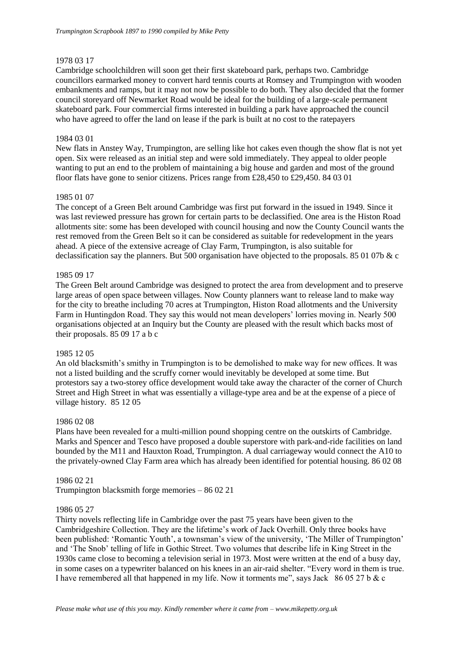## 1978 03 17

Cambridge schoolchildren will soon get their first skateboard park, perhaps two. Cambridge councillors earmarked money to convert hard tennis courts at Romsey and Trumpington with wooden embankments and ramps, but it may not now be possible to do both. They also decided that the former council storeyard off Newmarket Road would be ideal for the building of a large-scale permanent skateboard park. Four commercial firms interested in building a park have approached the council who have agreed to offer the land on lease if the park is built at no cost to the ratepayers

## 1984 03 01

New flats in Anstey Way, Trumpington, are selling like hot cakes even though the show flat is not yet open. Six were released as an initial step and were sold immediately. They appeal to older people wanting to put an end to the problem of maintaining a big house and garden and most of the ground floor flats have gone to senior citizens. Prices range from £28,450 to £29,450. 84 03 01

## 1985 01 07

The concept of a Green Belt around Cambridge was first put forward in the issued in 1949. Since it was last reviewed pressure has grown for certain parts to be declassified. One area is the Histon Road allotments site: some has been developed with council housing and now the County Council wants the rest removed from the Green Belt so it can be considered as suitable for redevelopment in the years ahead. A piece of the extensive acreage of Clay Farm, Trumpington, is also suitable for declassification say the planners. But 500 organisation have objected to the proposals. 85 01 07b & c

## 1985 09 17

The Green Belt around Cambridge was designed to protect the area from development and to preserve large areas of open space between villages. Now County planners want to release land to make way for the city to breathe including 70 acres at Trumpington, Histon Road allotments and the University Farm in Huntingdon Road. They say this would not mean developers' lorries moving in. Nearly 500 organisations objected at an Inquiry but the County are pleased with the result which backs most of their proposals. 85 09 17 a b c

## 1985 12 05

An old blacksmith's smithy in Trumpington is to be demolished to make way for new offices. It was not a listed building and the scruffy corner would inevitably be developed at some time. But protestors say a two-storey office development would take away the character of the corner of Church Street and High Street in what was essentially a village-type area and be at the expense of a piece of village history. 85 12 05

## 1986 02 08

Plans have been revealed for a multi-million pound shopping centre on the outskirts of Cambridge. Marks and Spencer and Tesco have proposed a double superstore with park-and-ride facilities on land bounded by the M11 and Hauxton Road, Trumpington. A dual carriageway would connect the A10 to the privately-owned Clay Farm area which has already been identified for potential housing. 86 02 08

## 1986 02 21

Trumpington blacksmith forge memories – 86 02 21

## 1986 05 27

Thirty novels reflecting life in Cambridge over the past 75 years have been given to the Cambridgeshire Collection. They are the lifetime's work of Jack Overhill. Only three books have been published: 'Romantic Youth', a townsman's view of the university, 'The Miller of Trumpington' and 'The Snob' telling of life in Gothic Street. Two volumes that describe life in King Street in the 1930s came close to becoming a television serial in 1973. Most were written at the end of a busy day, in some cases on a typewriter balanced on his knees in an air-raid shelter. "Every word in them is true. I have remembered all that happened in my life. Now it torments me", says Jack 86 05 27 b & c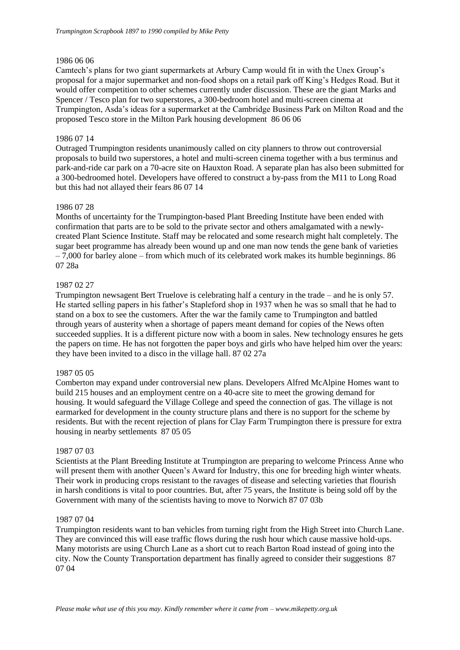## 1986 06 06

Camtech's plans for two giant supermarkets at Arbury Camp would fit in with the Unex Group's proposal for a major supermarket and non-food shops on a retail park off King's Hedges Road. But it would offer competition to other schemes currently under discussion. These are the giant Marks and Spencer / Tesco plan for two superstores, a 300-bedroom hotel and multi-screen cinema at Trumpington, Asda's ideas for a supermarket at the Cambridge Business Park on Milton Road and the proposed Tesco store in the Milton Park housing development 86 06 06

## 1986 07 14

Outraged Trumpington residents unanimously called on city planners to throw out controversial proposals to build two superstores, a hotel and multi-screen cinema together with a bus terminus and park-and-ride car park on a 70-acre site on Hauxton Road. A separate plan has also been submitted for a 300-bedroomed hotel. Developers have offered to construct a by-pass from the M11 to Long Road but this had not allayed their fears 86 07 14

## 1986 07 28

Months of uncertainty for the Trumpington-based Plant Breeding Institute have been ended with confirmation that parts are to be sold to the private sector and others amalgamated with a newlycreated Plant Science Institute. Staff may be relocated and some research might halt completely. The sugar beet programme has already been wound up and one man now tends the gene bank of varieties – 7,000 for barley alone – from which much of its celebrated work makes its humble beginnings. 86 07 28a

## 1987 02 27

Trumpington newsagent Bert Truelove is celebrating half a century in the trade – and he is only 57. He started selling papers in his father's Stapleford shop in 1937 when he was so small that he had to stand on a box to see the customers. After the war the family came to Trumpington and battled through years of austerity when a shortage of papers meant demand for copies of the News often succeeded supplies. It is a different picture now with a boom in sales. New technology ensures he gets the papers on time. He has not forgotten the paper boys and girls who have helped him over the years: they have been invited to a disco in the village hall. 87 02 27a

## 1987 05 05

Comberton may expand under controversial new plans. Developers Alfred McAlpine Homes want to build 215 houses and an employment centre on a 40-acre site to meet the growing demand for housing. It would safeguard the Village College and speed the connection of gas. The village is not earmarked for development in the county structure plans and there is no support for the scheme by residents. But with the recent rejection of plans for Clay Farm Trumpington there is pressure for extra housing in nearby settlements 87 05 05

## 1987 07 03

Scientists at the Plant Breeding Institute at Trumpington are preparing to welcome Princess Anne who will present them with another Queen's Award for Industry, this one for breeding high winter wheats. Their work in producing crops resistant to the ravages of disease and selecting varieties that flourish in harsh conditions is vital to poor countries. But, after 75 years, the Institute is being sold off by the Government with many of the scientists having to move to Norwich 87 07 03b

## 1987 07 04

Trumpington residents want to ban vehicles from turning right from the High Street into Church Lane. They are convinced this will ease traffic flows during the rush hour which cause massive hold-ups. Many motorists are using Church Lane as a short cut to reach Barton Road instead of going into the city. Now the County Transportation department has finally agreed to consider their suggestions 87 07 04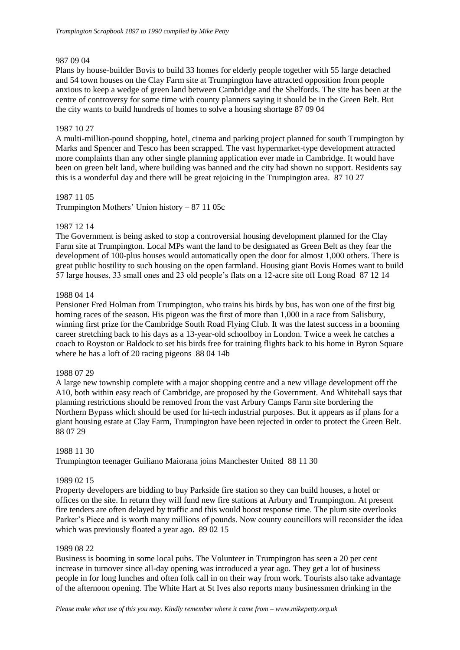## 987 09 04

Plans by house-builder Bovis to build 33 homes for elderly people together with 55 large detached and 54 town houses on the Clay Farm site at Trumpington have attracted opposition from people anxious to keep a wedge of green land between Cambridge and the Shelfords. The site has been at the centre of controversy for some time with county planners saying it should be in the Green Belt. But the city wants to build hundreds of homes to solve a housing shortage 87 09 04

## 1987 10 27

A multi-million-pound shopping, hotel, cinema and parking project planned for south Trumpington by Marks and Spencer and Tesco has been scrapped. The vast hypermarket-type development attracted more complaints than any other single planning application ever made in Cambridge. It would have been on green belt land, where building was banned and the city had shown no support. Residents say this is a wonderful day and there will be great rejoicing in the Trumpington area. 87 10 27

## 1987 11 05

Trumpington Mothers' Union history – 87 11 05c

## 1987 12 14

The Government is being asked to stop a controversial housing development planned for the Clay Farm site at Trumpington. Local MPs want the land to be designated as Green Belt as they fear the development of 100-plus houses would automatically open the door for almost 1,000 others. There is great public hostility to such housing on the open farmland. Housing giant Bovis Homes want to build 57 large houses, 33 small ones and 23 old people's flats on a 12-acre site off Long Road 87 12 14

## 1988 04 14

Pensioner Fred Holman from Trumpington, who trains his birds by bus, has won one of the first big homing races of the season. His pigeon was the first of more than 1,000 in a race from Salisbury, winning first prize for the Cambridge South Road Flying Club. It was the latest success in a booming career stretching back to his days as a 13-year-old schoolboy in London. Twice a week he catches a coach to Royston or Baldock to set his birds free for training flights back to his home in Byron Square where he has a loft of 20 racing pigeons 88 04 14b

## 1988 07 29

A large new township complete with a major shopping centre and a new village development off the A10, both within easy reach of Cambridge, are proposed by the Government. And Whitehall says that planning restrictions should be removed from the vast Arbury Camps Farm site bordering the Northern Bypass which should be used for hi-tech industrial purposes. But it appears as if plans for a giant housing estate at Clay Farm, Trumpington have been rejected in order to protect the Green Belt. 88 07 29

## 1988 11 30

Trumpington teenager Guiliano Maiorana joins Manchester United 88 11 30

## 1989 02 15

Property developers are bidding to buy Parkside fire station so they can build houses, a hotel or offices on the site. In return they will fund new fire stations at Arbury and Trumpington. At present fire tenders are often delayed by traffic and this would boost response time. The plum site overlooks Parker's Piece and is worth many millions of pounds. Now county councillors will reconsider the idea which was previously floated a year ago. 89 02 15

## 1989 08 22

Business is booming in some local pubs. The Volunteer in Trumpington has seen a 20 per cent increase in turnover since all-day opening was introduced a year ago. They get a lot of business people in for long lunches and often folk call in on their way from work. Tourists also take advantage of the afternoon opening. The White Hart at St Ives also reports many businessmen drinking in the